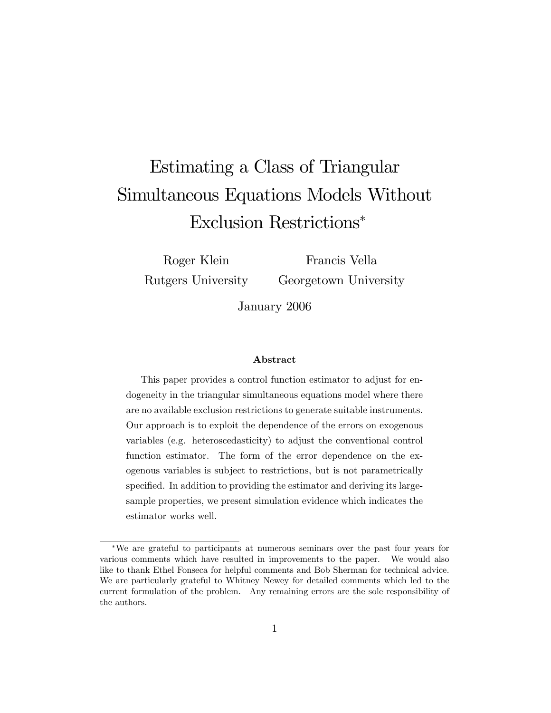# Estimating a Class of Triangular Simultaneous Equations Models Without Exclusion Restrictions

Roger Klein Rutgers University

Francis Vella Georgetown University

January 2006

#### Abstract

This paper provides a control function estimator to adjust for endogeneity in the triangular simultaneous equations model where there are no available exclusion restrictions to generate suitable instruments. Our approach is to exploit the dependence of the errors on exogenous variables (e.g. heteroscedasticity) to adjust the conventional control function estimator. The form of the error dependence on the exogenous variables is subject to restrictions, but is not parametrically specified. In addition to providing the estimator and deriving its largesample properties, we present simulation evidence which indicates the estimator works well.

We are grateful to participants at numerous seminars over the past four years for various comments which have resulted in improvements to the paper. We would also like to thank Ethel Fonseca for helpful comments and Bob Sherman for technical advice. We are particularly grateful to Whitney Newey for detailed comments which led to the current formulation of the problem. Any remaining errors are the sole responsibility of the authors.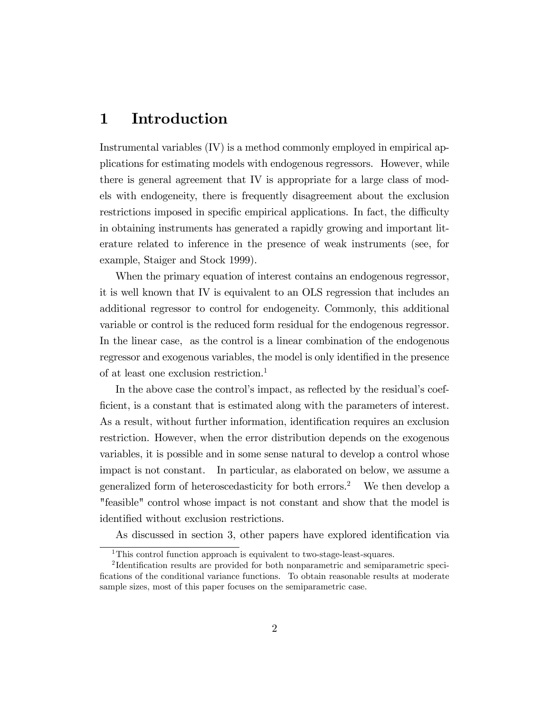#### 1 Introduction

Instrumental variables (IV) is a method commonly employed in empirical applications for estimating models with endogenous regressors. However, while there is general agreement that IV is appropriate for a large class of models with endogeneity, there is frequently disagreement about the exclusion restrictions imposed in specific empirical applications. In fact, the difficulty in obtaining instruments has generated a rapidly growing and important literature related to inference in the presence of weak instruments (see, for example, Staiger and Stock 1999).

When the primary equation of interest contains an endogenous regressor, it is well known that IV is equivalent to an OLS regression that includes an additional regressor to control for endogeneity. Commonly, this additional variable or control is the reduced form residual for the endogenous regressor. In the linear case, as the control is a linear combination of the endogenous regressor and exogenous variables, the model is only identified in the presence of at least one exclusion restriction.<sup>1</sup>

In the above case the control's impact, as reflected by the residual's coefficient, is a constant that is estimated along with the parameters of interest. As a result, without further information, identification requires an exclusion restriction. However, when the error distribution depends on the exogenous variables, it is possible and in some sense natural to develop a control whose impact is not constant. In particular, as elaborated on below, we assume a generalized form of heteroscedasticity for both errors.<sup>2</sup> We then develop a "feasible" control whose impact is not constant and show that the model is identified without exclusion restrictions.

As discussed in section 3, other papers have explored identification via

<sup>&</sup>lt;sup>1</sup>This control function approach is equivalent to two-stage-least-squares.

<sup>&</sup>lt;sup>2</sup>Identification results are provided for both nonparametric and semiparametric specifications of the conditional variance functions. To obtain reasonable results at moderate sample sizes, most of this paper focuses on the semiparametric case.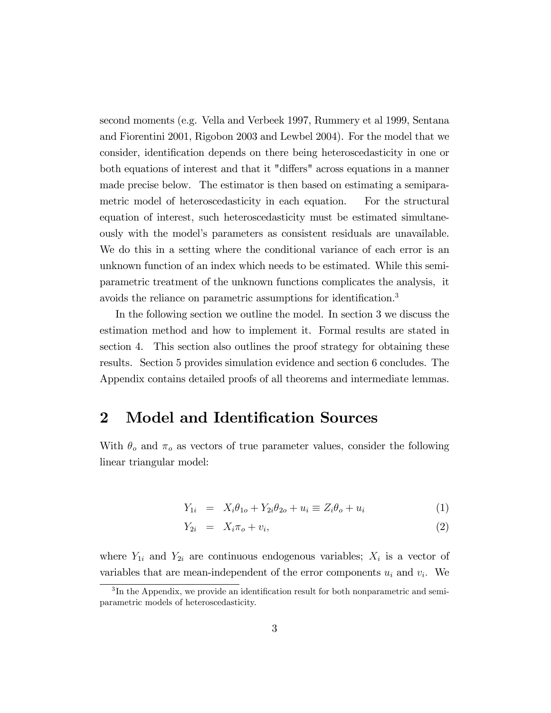second moments (e.g. Vella and Verbeek 1997, Rummery et al 1999, Sentana and Fiorentini 2001, Rigobon 2003 and Lewbel 2004). For the model that we consider, identification depends on there being heteroscedasticity in one or both equations of interest and that it "differs" across equations in a manner made precise below. The estimator is then based on estimating a semiparametric model of heteroscedasticity in each equation. For the structural equation of interest, such heteroscedasticity must be estimated simultaneously with the modelís parameters as consistent residuals are unavailable. We do this in a setting where the conditional variance of each error is an unknown function of an index which needs to be estimated. While this semiparametric treatment of the unknown functions complicates the analysis, it avoids the reliance on parametric assumptions for identification.<sup>3</sup>

In the following section we outline the model. In section 3 we discuss the estimation method and how to implement it. Formal results are stated in section 4. This section also outlines the proof strategy for obtaining these results. Section 5 provides simulation evidence and section 6 concludes. The Appendix contains detailed proofs of all theorems and intermediate lemmas.

#### 2 Model and Identification Sources

With  $\theta_o$  and  $\pi_o$  as vectors of true parameter values, consider the following linear triangular model:

$$
Y_{1i} = X_i \theta_{1o} + Y_{2i} \theta_{2o} + u_i \equiv Z_i \theta_o + u_i \tag{1}
$$

$$
Y_{2i} = X_i \pi_o + v_i, \tag{2}
$$

where  $Y_{1i}$  and  $Y_{2i}$  are continuous endogenous variables;  $X_i$  is a vector of variables that are mean-independent of the error components  $u_i$  and  $v_i$ . We

 ${}^{3}$ In the Appendix, we provide an identification result for both nonparametric and semiparametric models of heteroscedasticity.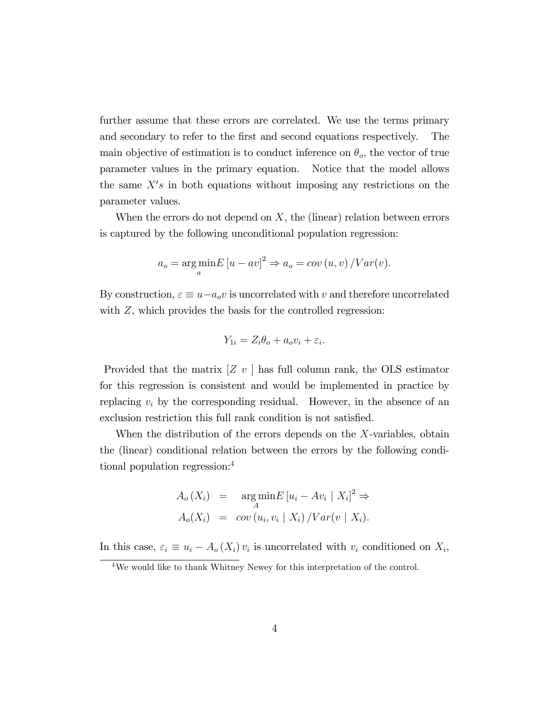further assume that these errors are correlated. We use the terms primary and secondary to refer to the first and second equations respectively. The main objective of estimation is to conduct inference on  $\theta_o$ , the vector of true parameter values in the primary equation. Notice that the model allows the same  $X's$  in both equations without imposing any restrictions on the parameter values.

When the errors do not depend on  $X$ , the (linear) relation between errors is captured by the following unconditional population regression:

$$
a_o = \underset{a}{\arg\min} E [u - av]^2 \Rightarrow a_o = cov (u, v) / Var(v).
$$

By construction,  $\varepsilon \equiv u - a_0 v$  is uncorrelated with v and therefore uncorrelated with  $Z$ , which provides the basis for the controlled regression:

$$
Y_{1i} = Z_i \theta_o + a_o v_i + \varepsilon_i.
$$

Provided that the matrix  $[Z \, v]$  has full column rank, the OLS estimator for this regression is consistent and would be implemented in practice by replacing  $v_i$  by the corresponding residual. However, in the absence of an exclusion restriction this full rank condition is not satisfied.

When the distribution of the errors depends on the X-variables, obtain the (linear) conditional relation between the errors by the following conditional population regression:<sup>4</sup>

$$
A_o(X_i) = \underset{A}{\arg\min} E [u_i - Av_i | X_i]^2 \Rightarrow
$$
  

$$
A_o(X_i) = cov (u_i, v_i | X_i) / Var(v | X_i).
$$

In this case,  $\varepsilon_i \equiv u_i - A_o(X_i)v_i$  is uncorrelated with  $v_i$  conditioned on  $X_i$ ,

<sup>4</sup>We would like to thank Whitney Newey for this interpretation of the control.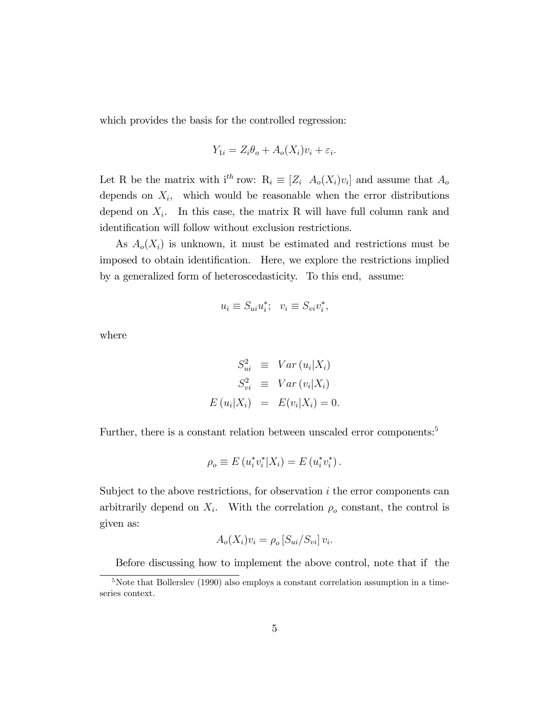which provides the basis for the controlled regression:

$$
Y_{1i} = Z_i \theta_o + A_o(X_i)v_i + \varepsilon_i.
$$

Let R be the matrix with  $i^{th}$  row:  $R_i \equiv [Z_i \ A_o(X_i)v_i]$  and assume that  $A_o$ depends on  $X_i$ , which would be reasonable when the error distributions depend on  $X_i$ . In this case, the matrix R will have full column rank and identification will follow without exclusion restrictions.

As  $A_o(X_i)$  is unknown, it must be estimated and restrictions must be imposed to obtain identification. Here, we explore the restrictions implied by a generalized form of heteroscedasticity. To this end, assume:

$$
u_i \equiv S_{ui} u_i^*; \quad v_i \equiv S_{vi} v_i^*,
$$

where

$$
S_{ui}^2 \equiv Var(u_i|X_i)
$$
  
\n
$$
S_{vi}^2 \equiv Var(v_i|X_i)
$$
  
\n
$$
E(u_i|X_i) = E(v_i|X_i) = 0.
$$

Further, there is a constant relation between unscaled error components:<sup>5</sup>

$$
\rho_o \equiv E\left(u_i^* v_i^* | X_i\right) = E\left(u_i^* v_i^*\right).
$$

Subject to the above restrictions, for observation  $i$  the error components can arbitrarily depend on  $X_i$ . With the correlation  $\rho_o$  constant, the control is given as:

$$
A_o(X_i)v_i = \rho_o[S_{ui}/S_{vi}]v_i.
$$

Before discussing how to implement the above control, note that if the

 $5$ Note that Bollerslev (1990) also employs a constant correlation assumption in a timeseries context.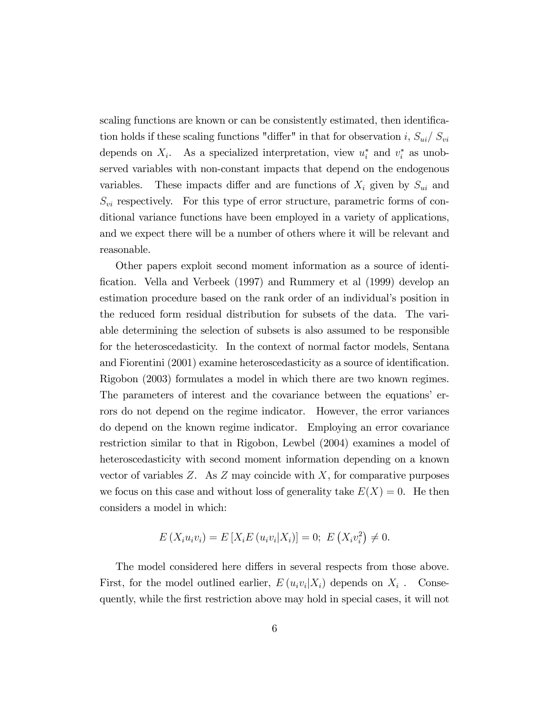scaling functions are known or can be consistently estimated, then identification holds if these scaling functions "differ" in that for observation i,  $S_{ui}/S_{vi}$ depends on  $X_i$ . As a specialized interpretation, view  $u_i^*$  and  $v_i^*$  as unobserved variables with non-constant impacts that depend on the endogenous variables. These impacts differ and are functions of  $X_i$  given by  $S_{ui}$  and  $S_{vi}$  respectively. For this type of error structure, parametric forms of conditional variance functions have been employed in a variety of applications, and we expect there will be a number of others where it will be relevant and reasonable.

Other papers exploit second moment information as a source of identi-Öcation. Vella and Verbeek (1997) and Rummery et al (1999) develop an estimation procedure based on the rank order of an individual's position in the reduced form residual distribution for subsets of the data. The variable determining the selection of subsets is also assumed to be responsible for the heteroscedasticity. In the context of normal factor models, Sentana and Fiorentini (2001) examine heteroscedasticity as a source of identification. Rigobon (2003) formulates a model in which there are two known regimes. The parameters of interest and the covariance between the equations' errors do not depend on the regime indicator. However, the error variances do depend on the known regime indicator. Employing an error covariance restriction similar to that in Rigobon, Lewbel (2004) examines a model of heteroscedasticity with second moment information depending on a known vector of variables  $Z$ . As  $Z$  may coincide with  $X$ , for comparative purposes we focus on this case and without loss of generality take  $E(X) = 0$ . He then considers a model in which:

$$
E(X_i u_i v_i) = E[X_i E(u_i v_i | X_i)] = 0; E(X_i v_i^2) \neq 0.
$$

The model considered here differs in several respects from those above. First, for the model outlined earlier,  $E(u_i v_i | X_i)$  depends on  $X_i$ . Consequently, while the Örst restriction above may hold in special cases, it will not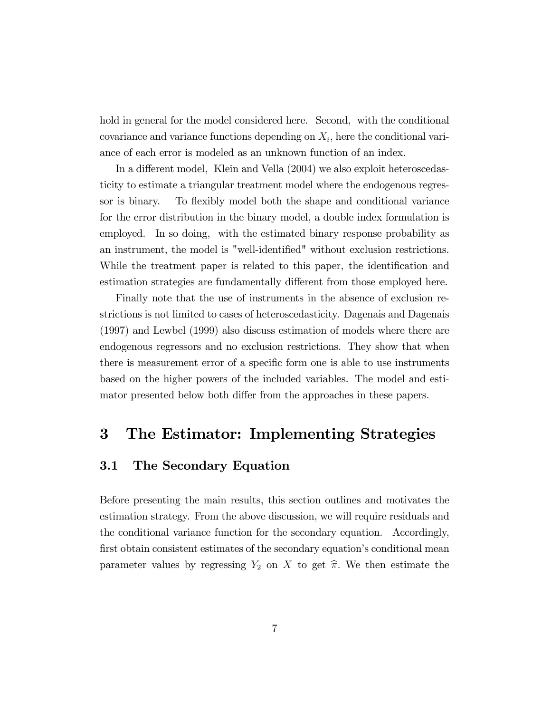hold in general for the model considered here. Second, with the conditional  $\alpha$  covariance and variance functions depending on  $X_i$ , here the conditional variance of each error is modeled as an unknown function of an index.

In a different model, Klein and Vella (2004) we also exploit heteroscedasticity to estimate a triangular treatment model where the endogenous regressor is binary. To flexibly model both the shape and conditional variance for the error distribution in the binary model, a double index formulation is employed. In so doing, with the estimated binary response probability as an instrument, the model is "well-identified" without exclusion restrictions. While the treatment paper is related to this paper, the identification and estimation strategies are fundamentally different from those employed here.

Finally note that the use of instruments in the absence of exclusion restrictions is not limited to cases of heteroscedasticity. Dagenais and Dagenais (1997) and Lewbel (1999) also discuss estimation of models where there are endogenous regressors and no exclusion restrictions. They show that when there is measurement error of a specific form one is able to use instruments based on the higher powers of the included variables. The model and estimator presented below both differ from the approaches in these papers.

#### 3 The Estimator: Implementing Strategies

#### 3.1 The Secondary Equation

Before presenting the main results, this section outlines and motivates the estimation strategy. From the above discussion, we will require residuals and the conditional variance function for the secondary equation. Accordingly, first obtain consistent estimates of the secondary equation's conditional mean parameter values by regressing  $Y_2$  on X to get  $\hat{\pi}$ . We then estimate the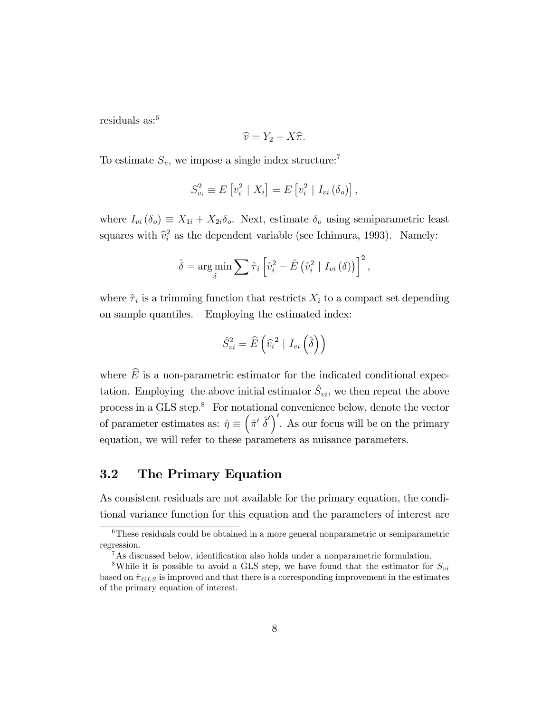residuals as:<sup>6</sup>

$$
\widehat{v} = Y_2 - X\widehat{\pi}.
$$

To estimate  $S_v$ , we impose a single index structure:<sup>7</sup>

$$
S_{v_i}^2 \equiv E[v_i^2 \mid X_i] = E[v_i^2 \mid I_{vi}(\delta_o)],
$$

where  $I_{vi}(\delta_o) \equiv X_{1i} + X_{2i}\delta_o$ . Next, estimate  $\delta_o$  using semiparametric least squares with  $\hat{v}_i^2$  as the dependent variable (see Ichimura, 1993). Namely:

$$
\hat{\delta} = \argmin_{\delta} \sum \hat{\tau}_i \left[ \hat{v}_i^2 - \hat{E} \left( \hat{v}_i^2 \mid I_{vi} \left( \delta \right) \right) \right]^2,
$$

where  $\hat{\tau}_i$  is a trimming function that restricts  $X_i$  to a compact set depending on sample quantiles. Employing the estimated index:

$$
\hat{S}_{vi}^{2} = \widehat{E}\left(\widehat{v_{i}}^{2} \mid I_{vi}\left(\widehat{\delta}\right)\right)
$$

where  $\widehat{E}$  is a non-parametric estimator for the indicated conditional expectation. Employing the above initial estimator  $\hat{S}_{vi}$ , we then repeat the above process in a GLS step.<sup>8</sup> For notational convenience below, denote the vector of parameter estimates as:  $\hat{\eta} \equiv (\hat{\pi}' \hat{\delta}')'$ . As our focus will be on the primary equation, we will refer to these parameters as nuisance parameters.

#### 3.2 The Primary Equation

As consistent residuals are not available for the primary equation, the conditional variance function for this equation and the parameters of interest are

<sup>&</sup>lt;sup>6</sup>These residuals could be obtained in a more general nonparametric or semiparametric regression.

 $7As$  discussed below, identification also holds under a nonparametric formulation.

<sup>&</sup>lt;sup>8</sup>While it is possible to avoid a GLS step, we have found that the estimator for  $S_{vi}$ based on  $\hat{\pi}_{GLS}$  is improved and that there is a corresponding improvement in the estimates of the primary equation of interest.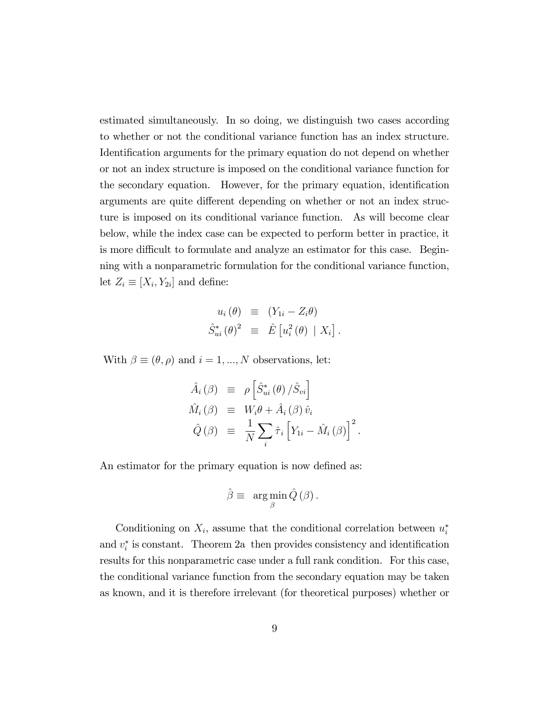estimated simultaneously. In so doing, we distinguish two cases according to whether or not the conditional variance function has an index structure. Identification arguments for the primary equation do not depend on whether or not an index structure is imposed on the conditional variance function for the secondary equation. However, for the primary equation, identification arguments are quite different depending on whether or not an index structure is imposed on its conditional variance function. As will become clear below, while the index case can be expected to perform better in practice, it is more difficult to formulate and analyze an estimator for this case. Beginning with a nonparametric formulation for the conditional variance function, let  $Z_i \equiv [X_i, Y_{2i}]$  and define:

$$
u_i(\theta) \equiv (Y_{1i} - Z_i \theta)
$$
  

$$
\hat{S}_{ui}^*(\theta)^2 \equiv \hat{E} [u_i^2(\theta) | X_i].
$$

With  $\beta \equiv (\theta, \rho)$  and  $i = 1, ..., N$  observations, let:

$$
\hat{A}_{i}(\beta) \equiv \rho \left[ \hat{S}_{ui}^{*}(\theta) / \hat{S}_{vi} \right]
$$
\n
$$
\hat{M}_{i}(\beta) \equiv W_{i}\theta + \hat{A}_{i}(\beta) \hat{v}_{i}
$$
\n
$$
\hat{Q}(\beta) \equiv \frac{1}{N} \sum_{i} \hat{\tau}_{i} \left[ Y_{1i} - \hat{M}_{i}(\beta) \right]^{2}.
$$

An estimator for the primary equation is now defined as:

$$
\hat{\beta} \equiv \arg \min_{\beta} \hat{Q}(\beta).
$$

Conditioning on  $X_i$ , assume that the conditional correlation between  $u_i^*$ and  $v_i^*$  is constant. Theorem 2a then provides consistency and identification results for this nonparametric case under a full rank condition. For this case, the conditional variance function from the secondary equation may be taken as known, and it is therefore irrelevant (for theoretical purposes) whether or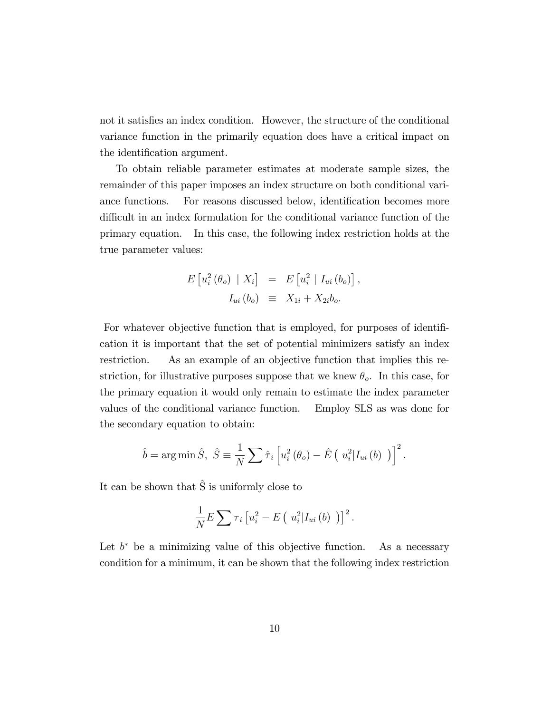not it satisfies an index condition. However, the structure of the conditional variance function in the primarily equation does have a critical impact on the identification argument.

To obtain reliable parameter estimates at moderate sample sizes, the remainder of this paper imposes an index structure on both conditional variance functions. For reasons discussed below, identification becomes more difficult in an index formulation for the conditional variance function of the primary equation. In this case, the following index restriction holds at the true parameter values:

$$
E\left[u_i^2\left(\theta_o\right) \mid X_i\right] = E\left[u_i^2 \mid I_{ui}\left(b_o\right)\right],
$$
  

$$
I_{ui}\left(b_o\right) \equiv X_{1i} + X_{2i}b_o.
$$

For whatever objective function that is employed, for purposes of identification it is important that the set of potential minimizers satisfy an index restriction. As an example of an objective function that implies this restriction, for illustrative purposes suppose that we knew  $\theta_o$ . In this case, for the primary equation it would only remain to estimate the index parameter values of the conditional variance function. Employ SLS as was done for the secondary equation to obtain:

$$
\hat{b} = \arg\min \hat{S}, \ \hat{S} \equiv \frac{1}{N} \sum \hat{\tau}_i \left[ u_i^2 \left( \theta_o \right) - \hat{E} \left( u_i^2 | I_{ui} \left( b \right) \right) \right]^2.
$$

It can be shown that  $\hat{S}$  is uniformly close to

$$
\frac{1}{N}E\sum \tau_i \left[ u_i^2 - E\left( u_i^2 | I_{ui}(b) \right) \right]^2.
$$

Let  $b^*$  be a minimizing value of this objective function. As a necessary condition for a minimum, it can be shown that the following index restriction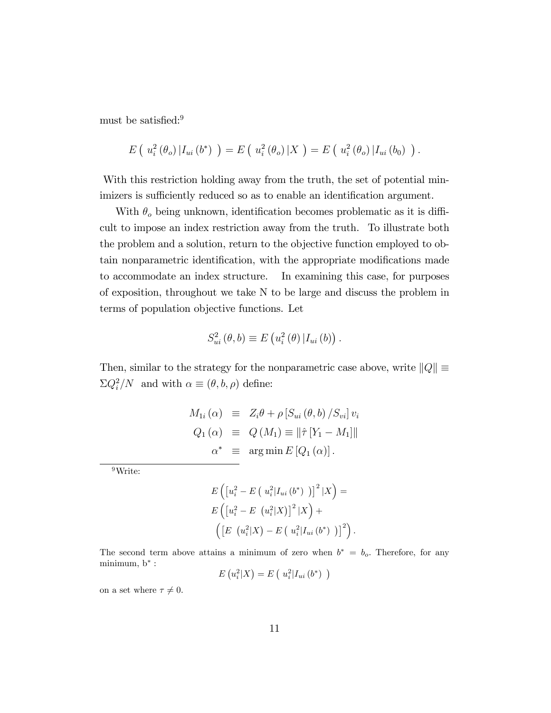must be satisfied:<sup>9</sup>

$$
E\left(u_i^2\left(\theta_o\right)|I_{ui}\left(b^*\right)\right)=E\left(u_i^2\left(\theta_o\right)|X\right)=E\left(u_i^2\left(\theta_o\right)|I_{ui}\left(b_0\right)\right).
$$

With this restriction holding away from the truth, the set of potential minimizers is sufficiently reduced so as to enable an identification argument.

With  $\theta_o$  being unknown, identification becomes problematic as it is difficult to impose an index restriction away from the truth. To illustrate both the problem and a solution, return to the objective function employed to obtain nonparametric identification, with the appropriate modifications made to accommodate an index structure. In examining this case, for purposes of exposition, throughout we take N to be large and discuss the problem in terms of population objective functions. Let

$$
S_{ui}^{2}(\theta, b) \equiv E(u_{i}^{2}(\theta) | I_{ui}(b)).
$$

Then, similar to the strategy for the nonparametric case above, write  $||Q|| \equiv$  $\Sigma Q_i^2/N$  and with  $\alpha \equiv (\theta, b, \rho)$  define:

$$
M_{1i}(\alpha) \equiv Z_i \theta + \rho \left[ S_{ui}(\theta, b) / S_{vi} \right] v_i
$$
  
\n
$$
Q_1(\alpha) \equiv Q(M_1) \equiv ||\hat{\tau} [Y_1 - M_1]||
$$
  
\n
$$
\alpha^* \equiv \arg \min E [Q_1(\alpha)].
$$

<sup>9</sup>Write:

$$
E\left(\left[u_i^2 - E\left(\right|u_i^2 | I_{ui}(b^*)\right)\right]^2 | X\right) =
$$
  
\n
$$
E\left(\left[u_i^2 - E\left|u_i^2 | X\right|\right)^2 | X\right) +
$$
  
\n
$$
\left(\left[E\left|u_i^2 | X\right\rangle - E\left|u_i^2 | I_{ui}(b^*)\right|\right)^2\right).
$$

The second term above attains a minimum of zero when  $b^* = b_o$ . Therefore, for any minimum,  $b^*$  :

$$
E(u_i^2|X) = E(u_i^2|I_{ui}(b^*))
$$

on a set where  $\tau \neq 0$ .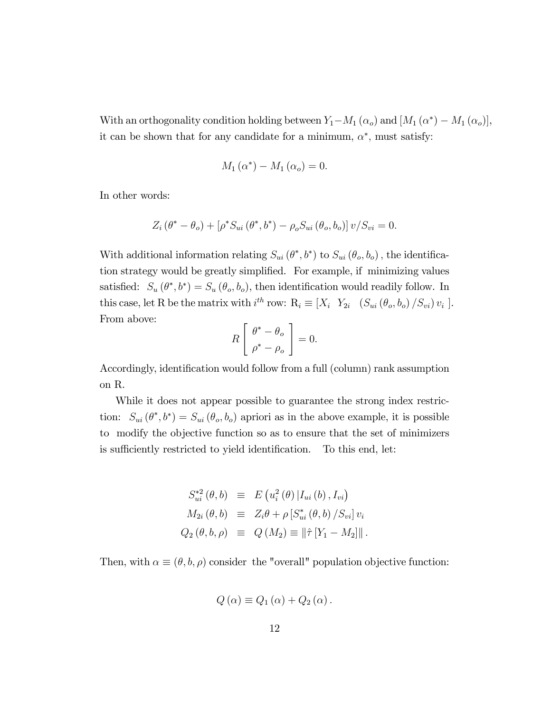With an orthogonality condition holding between  $Y_1-M_1(\alpha_o)$  and  $[M_1(\alpha^*)-M_1(\alpha_o)],$ it can be shown that for any candidate for a minimum,  $\alpha^*$ , must satisfy:

$$
M_1(\alpha^*) - M_1(\alpha_o) = 0.
$$

In other words:

$$
Z_i(\theta^* - \theta_o) + [\rho^* S_{ui}(\theta^*, b^*) - \rho_o S_{ui}(\theta_o, b_o)] v / S_{vi} = 0.
$$

With additional information relating  $S_{ui}(\theta^*,b^*)$  to  $S_{ui}(\theta_o,b_o)$ , the identification strategy would be greatly simplified. For example, if minimizing values satisfied:  $S_u(\theta^*, b^*) = S_u(\theta_o, b_o)$ , then identification would readily follow. In this case, let R be the matrix with  $i^{th}$  row:  $R_i \equiv [X_i \ Y_{2i} \ (S_{ui}(\theta_o, b_o) / S_{vi}) v_i].$ From above:

$$
R\left[\begin{array}{c}\theta^*-\theta_o\\\rho^*-\rho_o\end{array}\right]=0.
$$

Accordingly, identification would follow from a full (column) rank assumption on R.

While it does not appear possible to guarantee the strong index restriction:  $S_{ui}(\theta^*,b^*)=S_{ui}(\theta_o,b_o)$  apriori as in the above example, it is possible to modify the objective function so as to ensure that the set of minimizers is sufficiently restricted to yield identification. To this end, let:

$$
S_{ui}^{*2} (\theta, b) \equiv E (u_i^2 (\theta) | I_{ui} (b), I_{vi})
$$
  
\n
$$
M_{2i} (\theta, b) \equiv Z_i \theta + \rho [S_{ui}^* (\theta, b) / S_{vi}] v_i
$$
  
\n
$$
Q_2 (\theta, b, \rho) \equiv Q (M_2) \equiv ||\hat{\tau} [Y_1 - M_2]||.
$$

Then, with  $\alpha \equiv (\theta, b, \rho)$  consider the "overall" population objective function:

$$
Q(\alpha) \equiv Q_1(\alpha) + Q_2(\alpha).
$$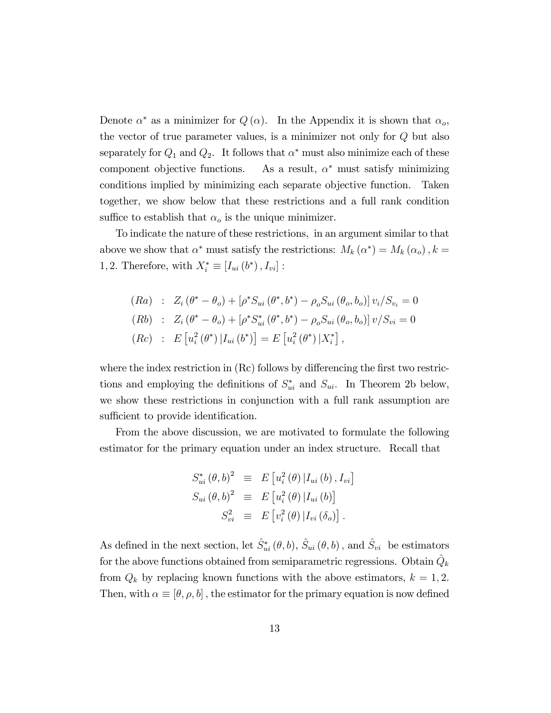Denote  $\alpha^*$  as a minimizer for  $Q(\alpha)$ . In the Appendix it is shown that  $\alpha_o$ , the vector of true parameter values, is a minimizer not only for Q but also separately for  $Q_1$  and  $Q_2$ . It follows that  $\alpha^*$  must also minimize each of these component objective functions. As a result,  $\alpha^*$  must satisfy minimizing conditions implied by minimizing each separate objective function. Taken together, we show below that these restrictions and a full rank condition suffice to establish that  $\alpha_o$  is the unique minimizer.

To indicate the nature of these restrictions, in an argument similar to that above we show that  $\alpha^*$  must satisfy the restrictions:  $M_k(\alpha^*) = M_k(\alpha_o)$ ,  $k =$ 1, 2. Therefore, with  $X_i^* \equiv [I_{ui}(b^*) , I_{vi}]$ :

$$
(Ra) : Z_i (\theta^* - \theta_o) + [\rho^* S_{ui} (\theta^*, b^*) - \rho_o S_{ui} (\theta_o, b_o)] v_i / S_{v_i} = 0
$$
  
\n
$$
(Rb) : Z_i (\theta^* - \theta_o) + [\rho^* S_{ui}^* (\theta^*, b^*) - \rho_o S_{ui} (\theta_o, b_o)] v / S_{vi} = 0
$$
  
\n
$$
(Rc) : E [u_i^2 (\theta^*) | I_{ui} (b^*)] = E [u_i^2 (\theta^*) | X_i^*],
$$

where the index restriction in  $(Rc)$  follows by differencing the first two restrictions and employing the definitions of  $S_{ui}^*$  and  $S_{ui}$ . In Theorem 2b below, we show these restrictions in conjunction with a full rank assumption are sufficient to provide identification.

From the above discussion, we are motivated to formulate the following estimator for the primary equation under an index structure. Recall that

$$
S_{ui}^* (\theta, b)^2 \equiv E [u_i^2 (\theta) | I_{ui} (b), I_{vi}]
$$
  
\n
$$
S_{ui} (\theta, b)^2 \equiv E [u_i^2 (\theta) | I_{ui} (b)]
$$
  
\n
$$
S_{vi}^2 \equiv E [v_i^2 (\theta) | I_{vi} (\delta_o)].
$$

As defined in the next section, let  $\hat{S}_{ui}^* (\theta, b)$ ,  $\hat{S}_{ui} (\theta, b)$ , and  $\hat{S}_{vi}$  be estimators for the above functions obtained from semiparametric regressions. Obtain  $\hat{Q}_k$ from  $Q_k$  by replacing known functions with the above estimators,  $k = 1, 2$ . Then, with  $\alpha \equiv [\theta, \rho, b]$ , the estimator for the primary equation is now defined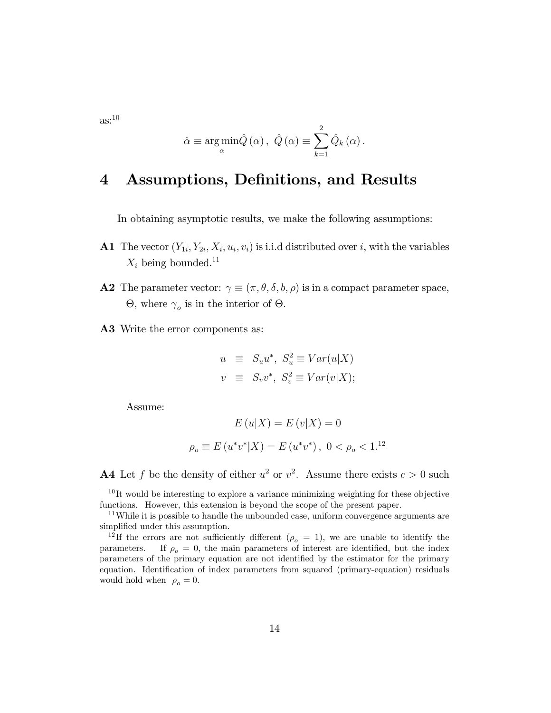$\text{as}:^{10}$ 

$$
\hat{\alpha} \equiv \argmin_{\alpha} \hat{Q}(\alpha), \ \hat{Q}(\alpha) \equiv \sum_{k=1}^{2} \hat{Q}_k(\alpha).
$$

## 4 Assumptions, Definitions, and Results

In obtaining asymptotic results, we make the following assumptions:

- **A1** The vector  $(Y_{1i}, Y_{2i}, X_i, u_i, v_i)$  is i.i.d distributed over i, with the variables  $X_i$  being bounded.<sup>11</sup>
- **A2** The parameter vector:  $\gamma \equiv (\pi, \theta, \delta, b, \rho)$  is in a compact parameter space,  $\Theta$ , where  $\gamma_o$  is in the interior of  $\Theta$ .
- A3 Write the error components as:

$$
u \equiv S_u u^*, \ S_u^2 \equiv Var(u|X)
$$
  

$$
v \equiv S_v v^*, \ S_v^2 \equiv Var(v|X);
$$

Assume:

$$
E(u|X) = E(v|X) = 0
$$
  

$$
\rho_o \equiv E(u^*v^*|X) = E(u^*v^*), \ 0 < \rho_o < 1.1^2
$$

**A4** Let f be the density of either  $u^2$  or  $v^2$ . Assume there exists  $c > 0$  such

 $10$ It would be interesting to explore a variance minimizing weighting for these objective functions. However, this extension is beyond the scope of the present paper.

 $11$ While it is possible to handle the unbounded case, uniform convergence arguments are simplified under this assumption.

<sup>&</sup>lt;sup>12</sup>If the errors are not sufficiently different ( $\rho_o = 1$ ), we are unable to identify the parameters. If  $\rho_o = 0$ , the main parameters of interest are identified, but the index parameters of the primary equation are not identified by the estimator for the primary equation. Identification of index parameters from squared (primary-equation) residuals would hold when  $\rho_o = 0$ .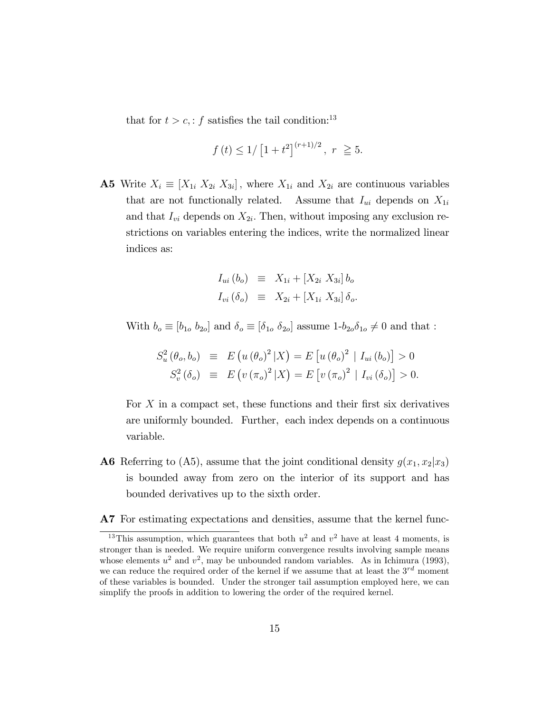that for  $t > c$ ,: f satisfies the tail condition:<sup>13</sup>

$$
f(t) \le 1/[1+t^2]^{(r+1)/2}, r \ge 5.
$$

**A5** Write  $X_i \equiv [X_{1i} \ X_{2i} \ X_{3i}]$ , where  $X_{1i}$  and  $X_{2i}$  are continuous variables that are not functionally related. Assume that  $I_{ui}$  depends on  $X_{1i}$ and that  $I_{vi}$  depends on  $X_{2i}$ . Then, without imposing any exclusion restrictions on variables entering the indices, write the normalized linear indices as:

$$
I_{ui} (b_o) \equiv X_{1i} + [X_{2i} \ X_{3i}] b_o
$$
  
\n
$$
I_{vi} (\delta_o) \equiv X_{2i} + [X_{1i} \ X_{3i}] \ \delta_o.
$$

With  $b_o \equiv [b_{1o}, b_{2o}]$  and  $\delta_o \equiv [\delta_{1o}, \delta_{2o}]$  assume  $1-b_{2o}\delta_{1o} \neq 0$  and that :

$$
S_u^2(\theta_o, b_o) \equiv E(u(\theta_o)^2 | X) = E[u(\theta_o)^2 | I_{ui}(b_o)] > 0
$$
  

$$
S_v^2(\delta_o) \equiv E(v(\pi_o)^2 | X) = E[v(\pi_o)^2 | I_{vi}(\delta_o)] > 0.
$$

For  $X$  in a compact set, these functions and their first six derivatives are uniformly bounded. Further, each index depends on a continuous variable.

- **A6** Referring to (A5), assume that the joint conditional density  $g(x_1, x_2|x_3)$ is bounded away from zero on the interior of its support and has bounded derivatives up to the sixth order.
- A7 For estimating expectations and densities, assume that the kernel func-

<sup>&</sup>lt;sup>13</sup>This assumption, which guarantees that both  $u^2$  and  $v^2$  have at least 4 moments, is stronger than is needed. We require uniform convergence results involving sample means whose elements  $u^2$  and  $v^2$ , may be unbounded random variables. As in Ichimura (1993), we can reduce the required order of the kernel if we assume that at least the  $3^{rd}$  moment of these variables is bounded. Under the stronger tail assumption employed here, we can simplify the proofs in addition to lowering the order of the required kernel.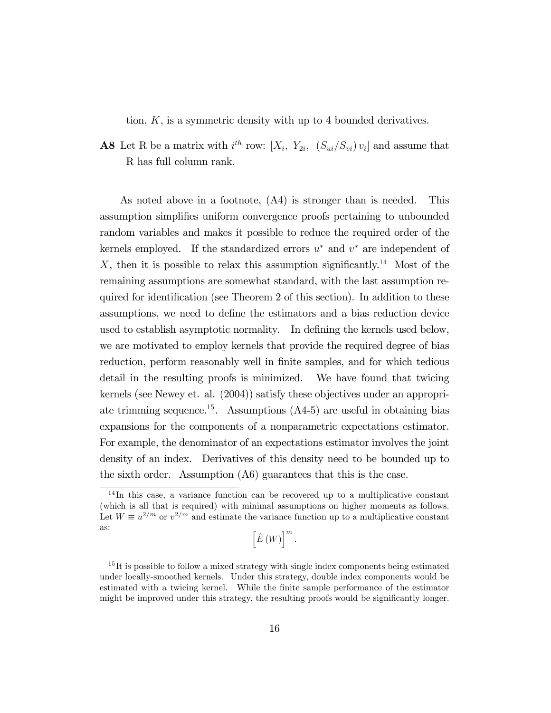tion, K, is a symmetric density with up to 4 bounded derivatives.

**A8** Let R be a matrix with  $i^{th}$  row:  $[X_i, Y_{2i}, (S_{ui}/S_{vi})v_i]$  and assume that R has full column rank.

As noted above in a footnote, (A4) is stronger than is needed. This assumption simplifies uniform convergence proofs pertaining to unbounded random variables and makes it possible to reduce the required order of the kernels employed. If the standardized errors  $u^*$  and  $v^*$  are independent of X, then it is possible to relax this assumption significantly.<sup>14</sup> Most of the remaining assumptions are somewhat standard, with the last assumption required for identification (see Theorem 2 of this section). In addition to these assumptions, we need to define the estimators and a bias reduction device used to establish asymptotic normality. In defining the kernels used below, we are motivated to employ kernels that provide the required degree of bias reduction, perform reasonably well in finite samples, and for which tedious detail in the resulting proofs is minimized. We have found that twicing kernels (see Newey et. al. (2004)) satisfy these objectives under an appropriate trimming sequence.<sup>15</sup>. Assumptions  $(A4-5)$  are useful in obtaining bias expansions for the components of a nonparametric expectations estimator. For example, the denominator of an expectations estimator involves the joint density of an index. Derivatives of this density need to be bounded up to the sixth order. Assumption (A6) guarantees that this is the case.

<sup>&</sup>lt;sup>14</sup>In this case, a variance function can be recovered up to a multiplicative constant (which is all that is required) with minimal assumptions on higher moments as follows. Let  $W \equiv u^{2/m}$  or  $v^{2/m}$  and estimate the variance function up to a multiplicative constant as:

 $\left[\hat{E}\left(W\right)\right]^{m}$ .

<sup>&</sup>lt;sup>15</sup>It is possible to follow a mixed strategy with single index components being estimated under locally-smoothed kernels. Under this strategy, double index components would be estimated with a twicing kernel. While the Önite sample performance of the estimator might be improved under this strategy, the resulting proofs would be significantly longer.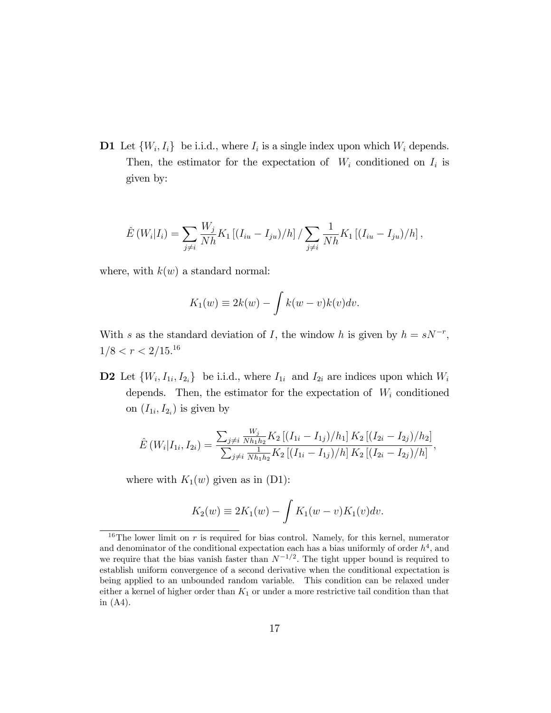**D1** Let  $\{W_i, I_i\}$  be i.i.d., where  $I_i$  is a single index upon which  $W_i$  depends. Then, the estimator for the expectation of  $W_i$  conditioned on  $I_i$  is given by:

$$
\hat{E}(W_i|I_i) = \sum_{j \neq i} \frac{W_j}{Nh} K_1 [(I_{iu} - I_{ju})/h] / \sum_{j \neq i} \frac{1}{Nh} K_1 [(I_{iu} - I_{ju})/h],
$$

where, with  $k(w)$  a standard normal:

$$
K_1(w) \equiv 2k(w) - \int k(w - v)k(v)dv.
$$

With s as the standard deviation of I, the window h is given by  $h = sN^{-r}$ ,  $1/8 < r < 2/15.^{16}$ 

**D2** Let  $\{W_i, I_{1i}, I_{2i}\}\)$  be i.i.d., where  $I_{1i}$  and  $I_{2i}$  are indices upon which  $W_i$ depends. Then, the estimator for the expectation of  $W_i$  conditioned on  $(I_{1i}, I_{2i})$  is given by

$$
\hat{E}(W_i|I_{1i}, I_{2i}) = \frac{\sum_{j\neq i} \frac{W_j}{N h_1 h_2} K_2 [(I_{1i} - I_{1j})/h_1] K_2 [(I_{2i} - I_{2j})/h_2]}{\sum_{j\neq i} \frac{1}{N h_1 h_2} K_2 [(I_{1i} - I_{1j})/h] K_2 [(I_{2i} - I_{2j})/h]},
$$

where with  $K_1(w)$  given as in (D1):

$$
K_2(w) \equiv 2K_1(w) - \int K_1(w - v)K_1(v)dv.
$$

<sup>&</sup>lt;sup>16</sup>The lower limit on  $r$  is required for bias control. Namely, for this kernel, numerator and denominator of the conditional expectation each has a bias uniformly of order  $h<sup>4</sup>$ , and we require that the bias vanish faster than  $N^{-1/2}$ . The tight upper bound is required to establish uniform convergence of a second derivative when the conditional expectation is being applied to an unbounded random variable. This condition can be relaxed under either a kernel of higher order than  $K_1$  or under a more restrictive tail condition than that in (A4).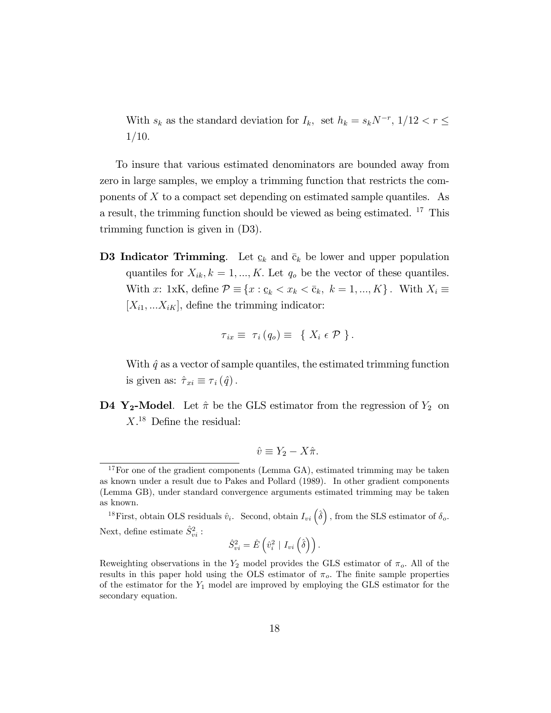With  $s_k$  as the standard deviation for  $I_k$ , set  $h_k = s_k N^{-r}$ ,  $1/12 < r \leq$  $1/10.$ 

To insure that various estimated denominators are bounded away from zero in large samples, we employ a trimming function that restricts the components of  $X$  to a compact set depending on estimated sample quantiles. As a result, the trimming function should be viewed as being estimated.  $^{17}$  This trimming function is given in (D3).

D3 Indicator Trimming. Let  $\mathbf c$  $\underline{c}_k$  and  $\overline{c}_k$  be lower and upper population quantiles for  $X_{ik}$ ,  $k = 1, ..., K$ . Let  $q_o$  be the vector of these quantiles. With x: 1xK, define  $\mathcal{P} \equiv \{x : \underline{c}_k < x_k < \overline{c}_k, \ k = 1, ..., K\}$ . With  $X_i \equiv$  $[X_{i1},...X_{iK}],$  define the trimming indicator:

$$
\tau_{ix} \equiv \tau_i (q_o) \equiv \{ X_i \in \mathcal{P} \}.
$$

With  $\hat{q}$  as a vector of sample quantiles, the estimated trimming function is given as:  $\hat{\tau}_{xi} \equiv \tau_i (\hat{q})$ .

**D4 Y<sub>2</sub>-Model**. Let  $\hat{\pi}$  be the GLS estimator from the regression of  $Y_2$  on  $X<sup>18</sup>$  Define the residual:

$$
\hat{v} \equiv Y_2 - X\hat{\pi}.
$$

$$
\hat{S}_{vi}^{2}=\hat{E}\left(\hat{v}_{i}^{2} \mid I_{vi}\left(\hat{\delta}\right)\right).
$$

<sup>&</sup>lt;sup>17</sup>For one of the gradient components (Lemma GA), estimated trimming may be taken as known under a result due to Pakes and Pollard (1989). In other gradient components (Lemma GB), under standard convergence arguments estimated trimming may be taken as known.

<sup>&</sup>lt;sup>18</sup>First, obtain OLS residuals  $\hat{v}_i$ . Second, obtain  $I_{vi}(\hat{\delta})$ , from the SLS estimator of  $\delta_o$ . Next, define estimate  $\hat{S}^2_{vi}$ :

Reweighting observations in the  $Y_2$  model provides the GLS estimator of  $\pi_o$ . All of the results in this paper hold using the OLS estimator of  $\pi_o$ . The finite sample properties of the estimator for the  $Y_1$  model are improved by employing the GLS estimator for the secondary equation.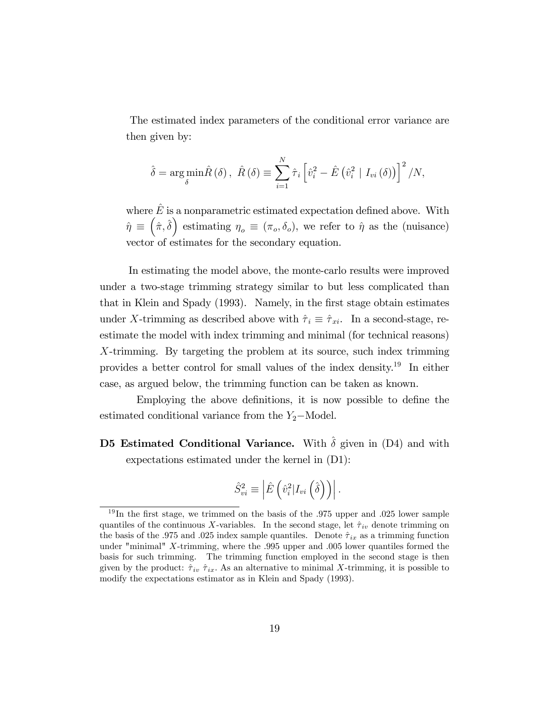The estimated index parameters of the conditional error variance are then given by:

$$
\hat{\delta} = \underset{\delta}{\arg\min} \hat{R}(\delta), \ \hat{R}(\delta) \equiv \sum_{i=1}^{N} \hat{\tau}_{i} \left[ \hat{v}_{i}^{2} - \hat{E} \left( \hat{v}_{i}^{2} \mid I_{vi}(\delta) \right) \right]^{2} / N,
$$

where  $\hat{E}$  is a nonparametric estimated expectation defined above. With  $\hat{\eta} \equiv (\hat{\pi}, \hat{\delta})$  estimating  $\eta_o \equiv (\pi_o, \delta_o)$ , we refer to  $\hat{\eta}$  as the (nuisance) vector of estimates for the secondary equation.

In estimating the model above, the monte-carlo results were improved under a two-stage trimming strategy similar to but less complicated than that in Klein and Spady (1993). Namely, in the Örst stage obtain estimates under X-trimming as described above with  $\hat{\tau}_i \equiv \hat{\tau}_{xi}$ . In a second-stage, reestimate the model with index trimming and minimal (for technical reasons) X-trimming. By targeting the problem at its source, such index trimming provides a better control for small values of the index density.<sup>19</sup> In either case, as argued below, the trimming function can be taken as known.

Employing the above definitions, it is now possible to define the estimated conditional variance from the  $Y_2$ -Model.

### D5 Estimated Conditional Variance. With  $\hat{\delta}$  given in (D4) and with expectations estimated under the kernel in (D1):

$$
\hat{S}_{vi}^2 \equiv \left| \hat{E} \left( \hat{v}_i^2 | I_{vi} \left( \hat{\delta} \right) \right) \right|.
$$

 $19$ In the first stage, we trimmed on the basis of the .975 upper and .025 lower sample quantiles of the continuous X-variables. In the second stage, let  $\hat{\tau}_{iv}$  denote trimming on the basis of the .975 and .025 index sample quantiles. Denote  $\hat{\tau}_{ix}$  as a trimming function under "minimal" X-trimming, where the .995 upper and .005 lower quantiles formed the basis for such trimming. The trimming function employed in the second stage is then given by the product:  $\hat{\tau}_{iv}$   $\hat{\tau}_{ix}$ . As an alternative to minimal X-trimming, it is possible to modify the expectations estimator as in Klein and Spady (1993).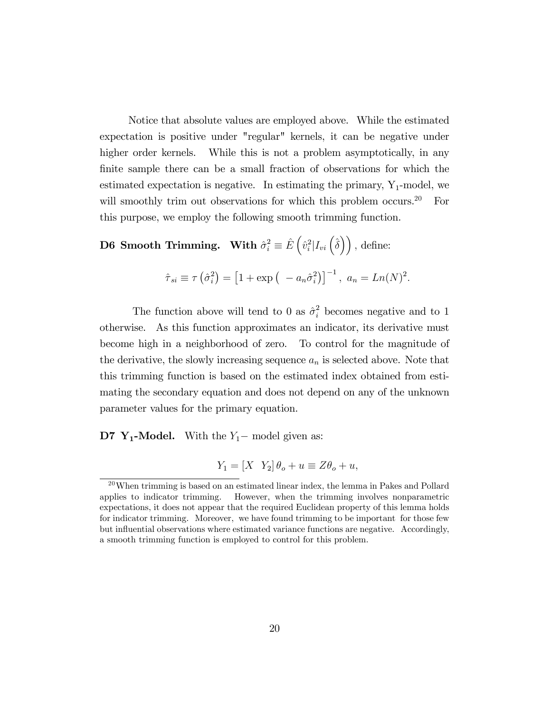Notice that absolute values are employed above. While the estimated expectation is positive under "regular" kernels, it can be negative under higher order kernels. While this is not a problem asymptotically, in any finite sample there can be a small fraction of observations for which the estimated expectation is negative. In estimating the primary,  $Y_1$ -model, we will smoothly trim out observations for which this problem occurs.<sup>20</sup> For this purpose, we employ the following smooth trimming function.

**D6** Smooth Trimming. With  $\hat{\sigma}_i^2 \equiv \hat{E} \left( \hat{v}_i^2 | I_{vi} \left( \hat{\delta} \right) \right)$ , define:

$$
\hat{\tau}_{si} \equiv \tau \left( \hat{\sigma}_i^2 \right) = \left[ 1 + \exp \left( -a_n \hat{\sigma}_i^2 \right) \right]^{-1}, \ a_n = Ln(N)^2.
$$

The function above will tend to 0 as  $\hat{\sigma}_i^2$  becomes negative and to 1 otherwise. As this function approximates an indicator, its derivative must become high in a neighborhood of zero. To control for the magnitude of the derivative, the slowly increasing sequence  $a_n$  is selected above. Note that this trimming function is based on the estimated index obtained from estimating the secondary equation and does not depend on any of the unknown parameter values for the primary equation.

**D7 Y<sub>1</sub>-Model.** With the  $Y_1$ – model given as:

$$
Y_1 = [X \ Y_2] \theta_o + u \equiv Z\theta_o + u,
$$

<sup>20</sup>When trimming is based on an estimated linear index, the lemma in Pakes and Pollard applies to indicator trimming. However, when the trimming involves nonparametric expectations, it does not appear that the required Euclidean property of this lemma holds for indicator trimming. Moreover, we have found trimming to be important for those few but influential observations where estimated variance functions are negative. Accordingly, a smooth trimming function is employed to control for this problem.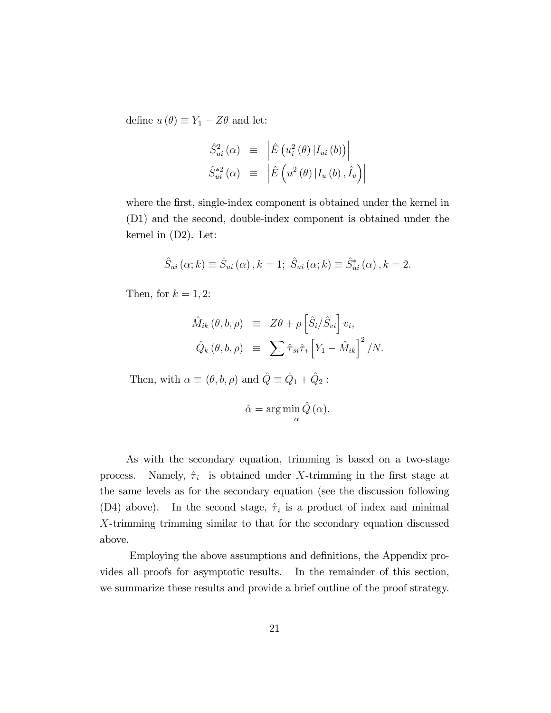define  $u(\theta) \equiv Y_1 - Z\theta$  and let:

$$
\hat{S}_{ui}^{2}(\alpha) \equiv \left| \hat{E} \left( u_{i}^{2}(\theta) | I_{ui}(b) \right) \right|
$$
  

$$
\hat{S}_{ui}^{*2}(\alpha) \equiv \left| \hat{E} \left( u^{2}(\theta) | I_{u}(b), \hat{I}_{v} \right) \right|
$$

where the first, single-index component is obtained under the kernel in (D1) and the second, double-index component is obtained under the kernel in (D2). Let:

$$
\hat{S}_{ui}(\alpha;k) \equiv \hat{S}_{ui}(\alpha), k = 1; \ \hat{S}_{ui}(\alpha;k) \equiv \hat{S}_{ui}^*(\alpha), k = 2.
$$

Then, for  $k = 1, 2$ :

$$
\hat{M}_{ik}(\theta, b, \rho) \equiv Z\theta + \rho \left[ \hat{S}_i / \hat{S}_{vi} \right] v_i,
$$
  

$$
\hat{Q}_k(\theta, b, \rho) \equiv \sum \hat{\tau}_{si} \hat{\tau}_i \left[ Y_1 - \hat{M}_{ik} \right]^2 / N.
$$

Then, with  $\alpha \equiv (\theta, b, \rho)$  and  $\hat{Q} \equiv \hat{Q}_1 + \hat{Q}_2$ :

$$
\hat{\alpha} = \arg\min_{\alpha} \hat{Q}(\alpha).
$$

As with the secondary equation, trimming is based on a two-stage process. Namely,  $\hat{\tau}_i$  is obtained under X-trimming in the first stage at the same levels as for the secondary equation (see the discussion following (D4) above). In the second stage,  $\hat{\tau}_i$  is a product of index and minimal X-trimming trimming similar to that for the secondary equation discussed above.

Employing the above assumptions and definitions, the Appendix provides all proofs for asymptotic results. In the remainder of this section, we summarize these results and provide a brief outline of the proof strategy.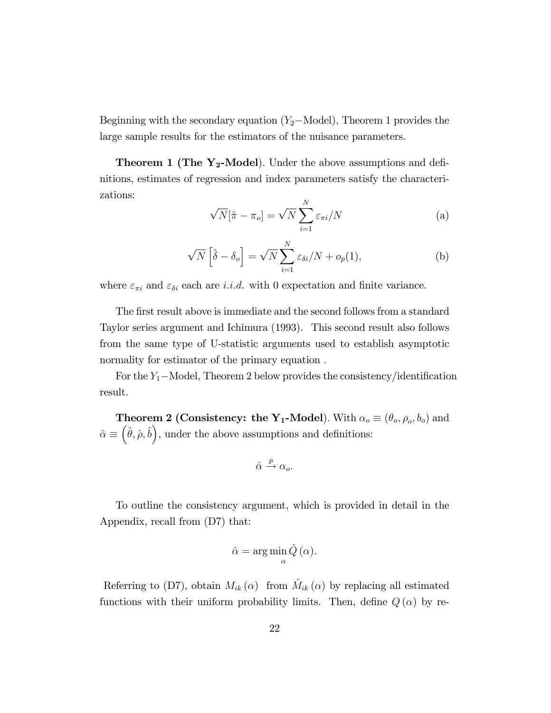Beginning with the secondary equation  $(Y_2-\text{Model})$ , Theorem 1 provides the large sample results for the estimators of the nuisance parameters.

**Theorem 1 (The Y<sub>2</sub>-Model)**. Under the above assumptions and definitions, estimates of regression and index parameters satisfy the characterizations:

$$
\sqrt{N}[\hat{\pi} - \pi_o] = \sqrt{N} \sum_{i=1}^{N} \varepsilon_{\pi i} / N
$$
 (a)

$$
\sqrt{N}\left[\hat{\delta} - \delta_o\right] = \sqrt{N} \sum_{i=1}^{N} \varepsilon_{\delta i} / N + o_p(1),\tag{b}
$$

where  $\varepsilon_{\pi i}$  and  $\varepsilon_{\delta i}$  each are i.i.d. with 0 expectation and finite variance.

The first result above is immediate and the second follows from a standard Taylor series argument and Ichimura (1993). This second result also follows from the same type of U-statistic arguments used to establish asymptotic normality for estimator of the primary equation :

For the  $Y_1$ -Model, Theorem 2 below provides the consistency/identification result.

**Theorem 2 (Consistency: the Y<sub>1</sub>-Model**). With  $\alpha_o \equiv (\theta_o, \rho_o, b_o)$  and  $\hat{\alpha} \equiv \left(\hat{\theta}, \hat{\rho}, \hat{b}\right)$ , under the above assumptions and definitions:

$$
\hat{\alpha} \xrightarrow{p} \alpha_o.
$$

To outline the consistency argument, which is provided in detail in the Appendix, recall from (D7) that:

$$
\hat{\alpha} = \arg\min_{\alpha} \hat{Q}(\alpha).
$$

Referring to (D7), obtain  $M_{ik}(\alpha)$  from  $\hat{M}_{ik}(\alpha)$  by replacing all estimated functions with their uniform probability limits. Then, define  $Q(\alpha)$  by re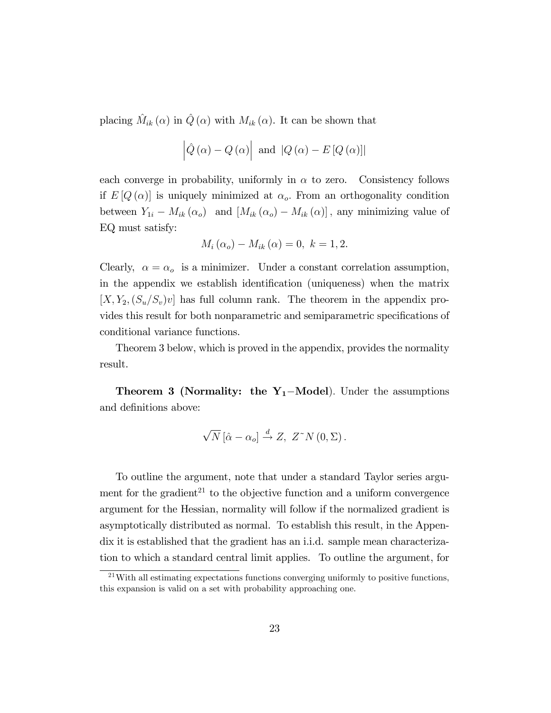placing  $\hat{M}_{ik} (\alpha)$  in  $\hat{Q} (\alpha)$  with  $M_{ik} (\alpha)$ . It can be shown that

$$
\left|\hat{Q}\left(\alpha\right) - Q\left(\alpha\right)\right|
$$
 and  $\left|Q\left(\alpha\right) - E\left[Q\left(\alpha\right)\right]\right|$ 

each converge in probability, uniformly in  $\alpha$  to zero. Consistency follows if  $E[Q(\alpha)]$  is uniquely minimized at  $\alpha_o$ . From an orthogonality condition between  $Y_{1i} - M_{ik} (\alpha_o)$  and  $[M_{ik} (\alpha_o) - M_{ik} (\alpha)]$ , any minimizing value of EQ must satisfy:

$$
M_i(\alpha_o) - M_{ik}(\alpha) = 0, \ k = 1, 2.
$$

Clearly,  $\alpha = \alpha_o$  is a minimizer. Under a constant correlation assumption, in the appendix we establish identification (uniqueness) when the matrix  $[X, Y_2, (S_u/S_v)v]$  has full column rank. The theorem in the appendix provides this result for both nonparametric and semiparametric specifications of conditional variance functions.

Theorem 3 below, which is proved in the appendix, provides the normality result.

**Theorem 3 (Normality: the Y<sub>1</sub>-Model)**. Under the assumptions and definitions above:

$$
\sqrt{N}\left[\hat{\alpha} - \alpha_o\right] \stackrel{d}{\rightarrow} Z, \ Z^{\sim}N\left(0, \Sigma\right).
$$

To outline the argument, note that under a standard Taylor series argument for the gradient<sup>21</sup> to the objective function and a uniform convergence argument for the Hessian, normality will follow if the normalized gradient is asymptotically distributed as normal. To establish this result, in the Appendix it is established that the gradient has an i.i.d. sample mean characterization to which a standard central limit applies. To outline the argument, for

 $^{21}$ With all estimating expectations functions converging uniformly to positive functions, this expansion is valid on a set with probability approaching one.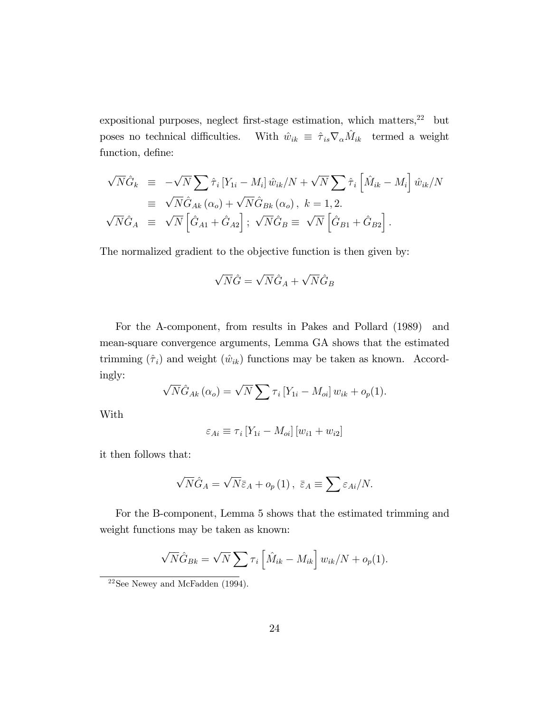expositional purposes, neglect first-stage estimation, which matters,  $^{22}\;$  but poses no technical difficulties. With  $\hat{w}_{ik} \, \equiv \, \hat{\tau}_{is} \nabla_\alpha \hat{M}_{ik} \;$  termed a weight function, define:

$$
\sqrt{N}\hat{G}_k \equiv -\sqrt{N} \sum \hat{\tau}_i \left[ Y_{1i} - M_i \right] \hat{w}_{ik}/N + \sqrt{N} \sum \hat{\tau}_i \left[ \hat{M}_{ik} - M_i \right] \hat{w}_{ik}/N
$$
  
\n
$$
\equiv \sqrt{N} \hat{G}_{Ak} (\alpha_o) + \sqrt{N} \hat{G}_{Bk} (\alpha_o), \ k = 1, 2.
$$
  
\n
$$
\sqrt{N} \hat{G}_A \equiv \sqrt{N} \left[ \hat{G}_{A1} + \hat{G}_{A2} \right]; \ \sqrt{N} \hat{G}_B \equiv \sqrt{N} \left[ \hat{G}_{B1} + \hat{G}_{B2} \right].
$$

The normalized gradient to the objective function is then given by:

$$
\sqrt{N}\hat{G} = \sqrt{N}\hat{G}_A + \sqrt{N}\hat{G}_B
$$

For the A-component, from results in Pakes and Pollard (1989) and mean-square convergence arguments, Lemma GA shows that the estimated trimming  $(\hat{\tau}_i)$  and weight  $(\hat{w}_{ik})$  functions may be taken as known. Accordingly:

$$
\sqrt{N}\hat{G}_{Ak}(\alpha_{o}) = \sqrt{N} \sum \tau_{i} [Y_{1i} - M_{oi}] w_{ik} + o_{p}(1).
$$

With

$$
\varepsilon_{Ai} \equiv \tau_i \left[ Y_{1i} - M_{oi} \right] \left[ w_{i1} + w_{i2} \right]
$$

it then follows that:

$$
\sqrt{N}\hat{G}_A = \sqrt{N}\bar{\varepsilon}_A + o_p(1), \ \bar{\varepsilon}_A \equiv \sum \varepsilon_{Ai}/N.
$$

For the B-component, Lemma 5 shows that the estimated trimming and weight functions may be taken as known:

$$
\sqrt{N}\hat{G}_{Bk} = \sqrt{N} \sum \tau_i \left[ \hat{M}_{ik} - M_{ik} \right] w_{ik}/N + o_p(1).
$$

 $22$ See Newey and McFadden  $(1994)$ .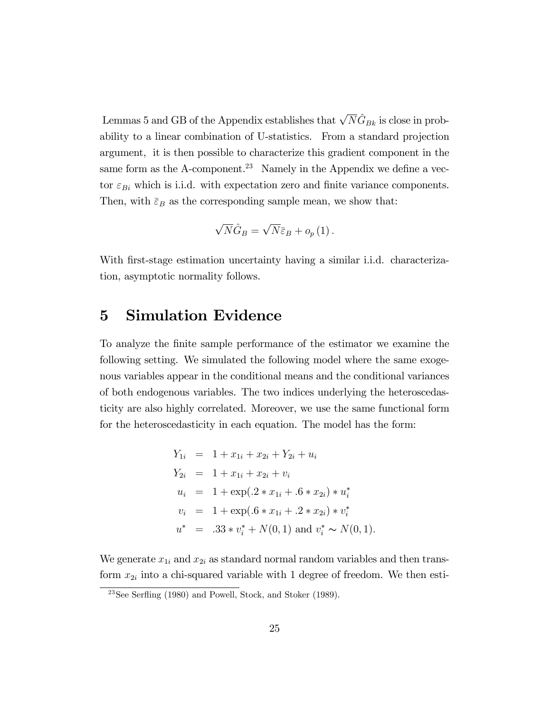Lemmas 5 and GB of the Appendix establishes that  $\sqrt{N}\hat{G}_{Bk}$  is close in probability to a linear combination of U-statistics. From a standard projection argument, it is then possible to characterize this gradient component in the same form as the A-component.<sup>23</sup> Namely in the Appendix we define a vector  $\varepsilon_{Bi}$  which is i.i.d. with expectation zero and finite variance components. Then, with  $\bar{\varepsilon}_B$  as the corresponding sample mean, we show that:

$$
\sqrt{N}\hat{G}_B = \sqrt{N}\bar{\varepsilon}_B + o_p(1).
$$

With first-stage estimation uncertainty having a similar i.i.d. characterization, asymptotic normality follows.

## 5 Simulation Evidence

To analyze the Önite sample performance of the estimator we examine the following setting. We simulated the following model where the same exogenous variables appear in the conditional means and the conditional variances of both endogenous variables. The two indices underlying the heteroscedasticity are also highly correlated. Moreover, we use the same functional form for the heteroscedasticity in each equation. The model has the form:

$$
Y_{1i} = 1 + x_{1i} + x_{2i} + Y_{2i} + u_i
$$
  
\n
$$
Y_{2i} = 1 + x_{1i} + x_{2i} + v_i
$$
  
\n
$$
u_i = 1 + \exp(.2 * x_{1i} + .6 * x_{2i}) * u_i^*
$$
  
\n
$$
v_i = 1 + \exp(.6 * x_{1i} + .2 * x_{2i}) * v_i^*
$$
  
\n
$$
u^* = .33 * v_i^* + N(0, 1) \text{ and } v_i^* \sim N(0, 1).
$$

We generate  $x_{1i}$  and  $x_{2i}$  as standard normal random variables and then transform  $x_{2i}$  into a chi-squared variable with 1 degree of freedom. We then esti-

 $23$ See Serfling (1980) and Powell, Stock, and Stoker (1989).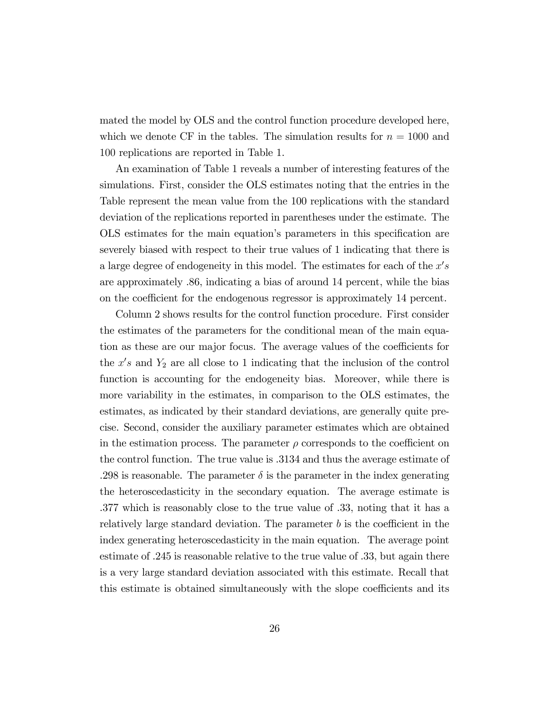mated the model by OLS and the control function procedure developed here, which we denote CF in the tables. The simulation results for  $n = 1000$  and 100 replications are reported in Table 1.

An examination of Table 1 reveals a number of interesting features of the simulations. First, consider the OLS estimates noting that the entries in the Table represent the mean value from the 100 replications with the standard deviation of the replications reported in parentheses under the estimate. The OLS estimates for the main equation's parameters in this specification are severely biased with respect to their true values of 1 indicating that there is a large degree of endogeneity in this model. The estimates for each of the  $x's$ are approximately .86, indicating a bias of around 14 percent, while the bias on the coefficient for the endogenous regressor is approximately 14 percent.

Column 2 shows results for the control function procedure. First consider the estimates of the parameters for the conditional mean of the main equation as these are our major focus. The average values of the coefficients for the  $x's$  and  $Y_2$  are all close to 1 indicating that the inclusion of the control function is accounting for the endogeneity bias. Moreover, while there is more variability in the estimates, in comparison to the OLS estimates, the estimates, as indicated by their standard deviations, are generally quite precise. Second, consider the auxiliary parameter estimates which are obtained in the estimation process. The parameter  $\rho$  corresponds to the coefficient on the control function. The true value is .3134 and thus the average estimate of .298 is reasonable. The parameter  $\delta$  is the parameter in the index generating the heteroscedasticity in the secondary equation. The average estimate is .377 which is reasonably close to the true value of .33, noting that it has a relatively large standard deviation. The parameter  $b$  is the coefficient in the index generating heteroscedasticity in the main equation. The average point estimate of .245 is reasonable relative to the true value of .33, but again there is a very large standard deviation associated with this estimate. Recall that this estimate is obtained simultaneously with the slope coefficients and its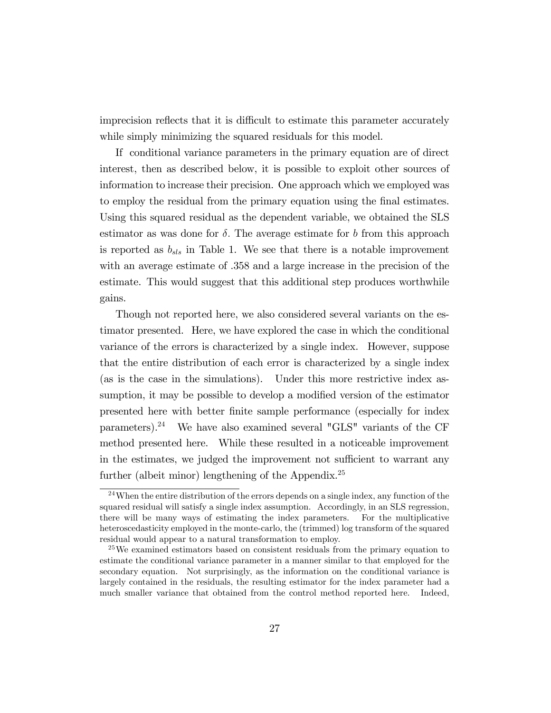imprecision reflects that it is difficult to estimate this parameter accurately while simply minimizing the squared residuals for this model.

If conditional variance parameters in the primary equation are of direct interest, then as described below, it is possible to exploit other sources of information to increase their precision. One approach which we employed was to employ the residual from the primary equation using the Önal estimates. Using this squared residual as the dependent variable, we obtained the SLS estimator as was done for  $\delta$ . The average estimate for b from this approach is reported as  $b_{sls}$  in Table 1. We see that there is a notable improvement with an average estimate of .358 and a large increase in the precision of the estimate. This would suggest that this additional step produces worthwhile gains.

Though not reported here, we also considered several variants on the estimator presented. Here, we have explored the case in which the conditional variance of the errors is characterized by a single index. However, suppose that the entire distribution of each error is characterized by a single index (as is the case in the simulations). Under this more restrictive index assumption, it may be possible to develop a modified version of the estimator presented here with better Önite sample performance (especially for index parameters).<sup>24</sup> We have also examined several "GLS" variants of the CF method presented here. While these resulted in a noticeable improvement in the estimates, we judged the improvement not sufficient to warrant any further (albeit minor) lengthening of the Appendix.<sup>25</sup>

 $24$ When the entire distribution of the errors depends on a single index, any function of the squared residual will satisfy a single index assumption. Accordingly, in an SLS regression, there will be many ways of estimating the index parameters. For the multiplicative heteroscedasticity employed in the monte-carlo, the (trimmed) log transform of the squared residual would appear to a natural transformation to employ.

<sup>25</sup>We examined estimators based on consistent residuals from the primary equation to estimate the conditional variance parameter in a manner similar to that employed for the secondary equation. Not surprisingly, as the information on the conditional variance is largely contained in the residuals, the resulting estimator for the index parameter had a much smaller variance that obtained from the control method reported here. Indeed,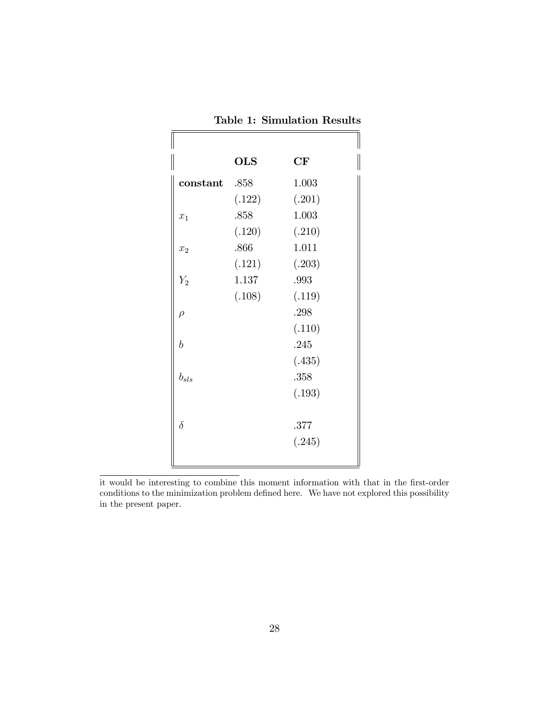|                  | <b>OLS</b> | CF     |
|------------------|------------|--------|
| constant .858    |            | 1.003  |
|                  | (.122)     | (.201) |
| $\overline{x}_1$ | .858       | 1.003  |
|                  | (.120)     | (.210) |
| $\overline{x_2}$ | .866       | 1.011  |
|                  | (.121)     | (.203) |
| $Y_2$            | 1.137      | .993   |
|                  | (.108)     | (.119) |
| $\rho$           |            | .298   |
|                  |            | (.110) |
| $\boldsymbol{b}$ |            | .245   |
|                  |            | (.435) |
| $b_{sls}$        |            | .358   |
|                  |            | (.193) |
|                  |            |        |
| $\delta$         |            | .377   |
|                  |            | (.245) |

Table 1: Simulation Results

it would be interesting to combine this moment information with that in the first-order conditions to the minimization problem defined here. We have not explored this possibility in the present paper.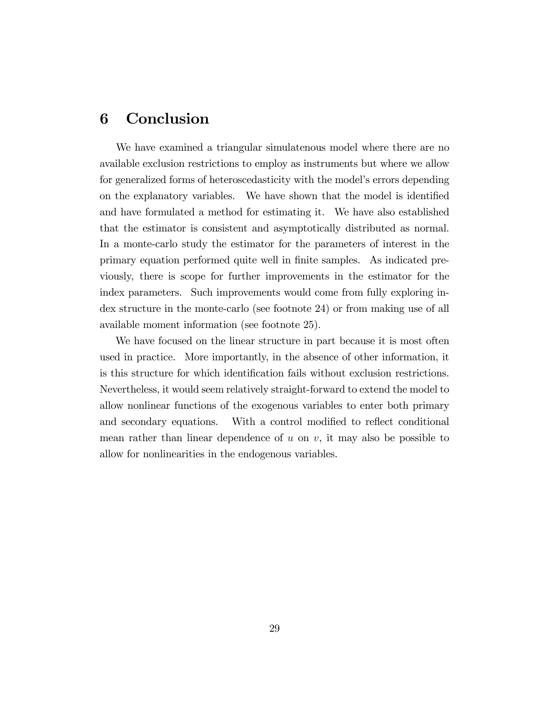#### 6 Conclusion

We have examined a triangular simulatenous model where there are no available exclusion restrictions to employ as instruments but where we allow for generalized forms of heteroscedasticity with the model's errors depending on the explanatory variables. We have shown that the model is identified and have formulated a method for estimating it. We have also established that the estimator is consistent and asymptotically distributed as normal. In a monte-carlo study the estimator for the parameters of interest in the primary equation performed quite well in Önite samples. As indicated previously, there is scope for further improvements in the estimator for the index parameters. Such improvements would come from fully exploring index structure in the monte-carlo (see footnote 24) or from making use of all available moment information (see footnote 25).

We have focused on the linear structure in part because it is most often used in practice. More importantly, in the absence of other information, it is this structure for which identification fails without exclusion restrictions. Nevertheless, it would seem relatively straight-forward to extend the model to allow nonlinear functions of the exogenous variables to enter both primary and secondary equations. With a control modified to reflect conditional mean rather than linear dependence of  $u$  on  $v$ , it may also be possible to allow for nonlinearities in the endogenous variables.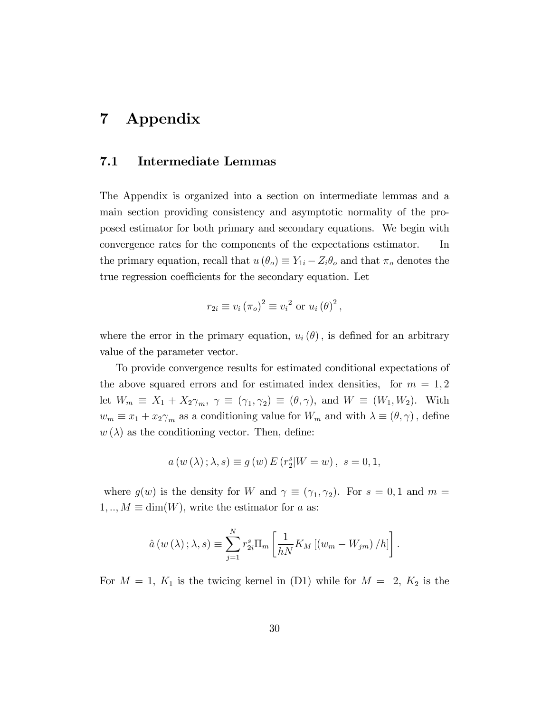## 7 Appendix

#### 7.1 Intermediate Lemmas

The Appendix is organized into a section on intermediate lemmas and a main section providing consistency and asymptotic normality of the proposed estimator for both primary and secondary equations. We begin with convergence rates for the components of the expectations estimator. In the primary equation, recall that  $u(\theta_o) \equiv Y_{1i} - Z_i \theta_o$  and that  $\pi_o$  denotes the true regression coefficients for the secondary equation. Let

$$
r_{2i} \equiv v_i (\pi_o)^2 \equiv v_i^2 \text{ or } u_i (\theta)^2,
$$

where the error in the primary equation,  $u_i(\theta)$ , is defined for an arbitrary value of the parameter vector.

To provide convergence results for estimated conditional expectations of the above squared errors and for estimated index densities, for  $m = 1, 2$ let  $W_m \equiv X_1 + X_2 \gamma_m$ ,  $\gamma \equiv (\gamma_1, \gamma_2) \equiv (\theta, \gamma)$ , and  $W \equiv (W_1, W_2)$ . With  $w_m \equiv x_1 + x_2 \gamma_m$  as a conditioning value for  $W_m$  and with  $\lambda \equiv (\theta, \gamma)$ , define  $w(\lambda)$  as the conditioning vector. Then, define:

$$
a(w(\lambda); \lambda, s) \equiv g(w) E(r_2^s | W = w), s = 0, 1,
$$

where  $g(w)$  is the density for W and  $\gamma \equiv (\gamma_1, \gamma_2)$ . For  $s = 0, 1$  and  $m =$  $1, ..., M \equiv \dim(W)$ , write the estimator for a as:

$$
\hat{a}(w(\lambda);\lambda,s) \equiv \sum_{j=1}^{N} r_{2i}^{s} \Pi_{m} \left[ \frac{1}{hN} K_{M} \left[ \left( w_{m} - W_{jm} \right) / h \right] \right].
$$

For  $M = 1$ ,  $K_1$  is the twicing kernel in (D1) while for  $M = 2$ ,  $K_2$  is the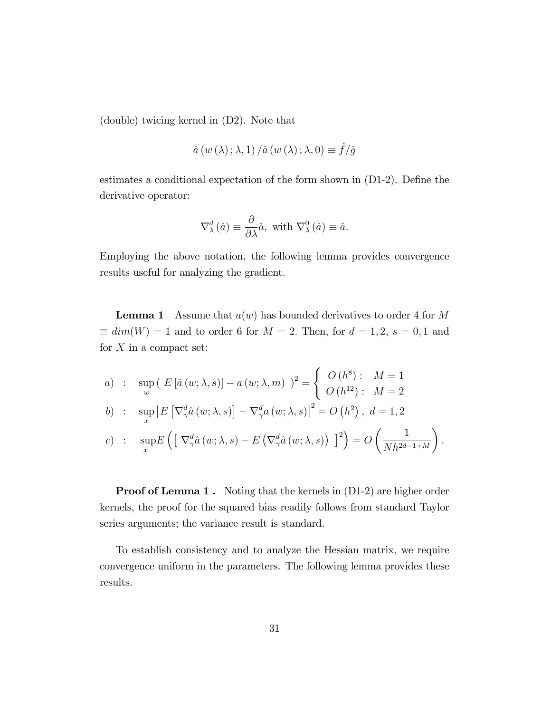(double) twicing kernel in (D2). Note that

$$
\hat{a}\left(w\left(\lambda\right);\lambda,1\right)/\hat{a}\left(w\left(\lambda\right);\lambda,0\right)\equiv\hat{f}/\hat{g}
$$

estimates a conditional expectation of the form shown in  $(D1-2)$ . Define the derivative operator:

$$
\nabla^d_\lambda(\hat{a}) \equiv \frac{\partial}{\partial \lambda} \hat{a}, \text{ with } \nabla^0_\lambda(\hat{a}) \equiv \hat{a}.
$$

Employing the above notation, the following lemma provides convergence results useful for analyzing the gradient.

**Lemma 1** Assume that  $a(w)$  has bounded derivatives to order 4 for M  $\equiv dim(W) = 1$  and to order 6 for  $M = 2$ . Then, for  $d = 1, 2, s = 0, 1$  and for  $X$  in a compact set:

a) : 
$$
\sup_{w} ( E [\hat{a}(w; \lambda, s)] - a(w; \lambda, m) )^{2} = \begin{cases} O(h^{8}) : M = 1 \\ O(h^{12}) : M = 2 \end{cases}
$$

$$
b) : \quad \sup_x \left| E\left[\nabla^d_\gamma \hat{a}\left(w;\lambda,s\right)\right] - \nabla^d_\gamma a\left(w;\lambda,s\right) \right|^2 = O\left(h^2\right), \ d = 1,2
$$

c) : 
$$
\sup_x E\left(\left[\nabla^d_\gamma \hat{a}(w;\lambda,s) - E\left(\nabla^d_\gamma \hat{a}(w;\lambda,s)\right)\right]^2\right) = O\left(\frac{1}{Nh^{2d-1+M}}\right).
$$

**Proof of Lemma 1.** Noting that the kernels in  $(D1-2)$  are higher order kernels, the proof for the squared bias readily follows from standard Taylor series arguments; the variance result is standard.

To establish consistency and to analyze the Hessian matrix, we require convergence uniform in the parameters. The following lemma provides these results.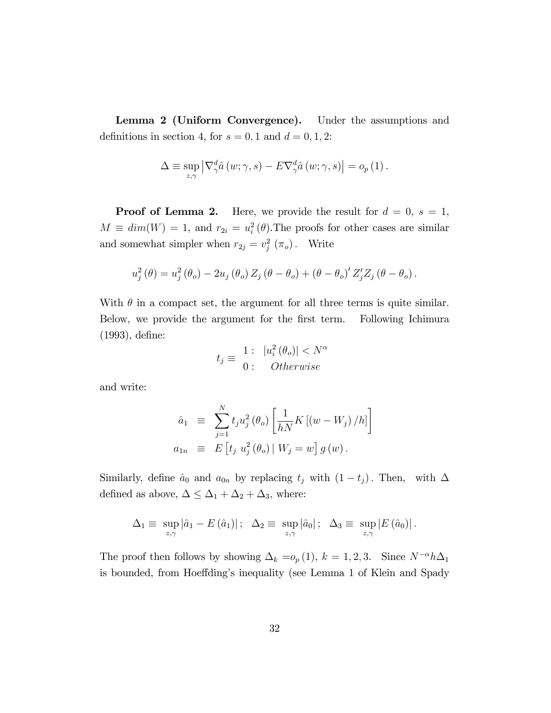Lemma 2 (Uniform Convergence). Under the assumptions and definitions in section 4, for  $s = 0, 1$  and  $d = 0, 1, 2$ :

$$
\Delta \equiv \sup_{z,\gamma} \left| \nabla^d_\gamma \hat{a} \left( w;\gamma,s \right) - E \nabla^d_\gamma \hat{a} \left( w;\gamma,s \right) \right| = o_p \left( 1 \right).
$$

**Proof of Lemma 2.** Here, we provide the result for  $d = 0$ ,  $s = 1$ ,  $M \equiv dim(W) = 1$ , and  $r_{2i} = u_i^2(\theta)$ . The proofs for other cases are similar and somewhat simpler when  $r_{2j} = v_j^2(\pi_o)$ . Write

$$
u_j^2(\theta) = u_j^2(\theta_o) - 2u_j(\theta_o) Z_j(\theta - \theta_o) + (\theta - \theta_o)' Z'_j Z_j(\theta - \theta_o).
$$

With  $\theta$  in a compact set, the argument for all three terms is quite similar. Below, we provide the argument for the first term. Following Ichimura  $(1993)$ , define:

$$
t_j \equiv \frac{1: |u_i^2(\theta_o)|}{0: Otherwise}
$$

and write:

$$
\hat{a}_1 \equiv \sum_{j=1}^N t_j u_j^2 (\theta_o) \left[ \frac{1}{hN} K \left[ (w - W_j) / h \right] \right]
$$
  

$$
a_{1n} \equiv E \left[ t_j u_j^2 (\theta_o) \mid W_j = w \right] g(w).
$$

Similarly, define  $\hat{a}_0$  and  $a_{0n}$  by replacing  $t_j$  with  $(1 - t_j)$ . Then, with  $\Delta$ defined as above,  $\Delta \leq \Delta_1 + \Delta_2 + \Delta_3$  , where:

$$
\Delta_1 \equiv \sup_{z,\gamma} |\hat{a}_1 - E(\hat{a}_1)| \,;\ \ \Delta_2 \equiv \sup_{z,\gamma} |\hat{a}_0| \,;\ \ \Delta_3 \equiv \sup_{z,\gamma} |E(\hat{a}_0)| \,.
$$

The proof then follows by showing  $\Delta_k = o_p (1)$ ,  $k = 1, 2, 3$ . Since  $N^{-\alpha} h \Delta_1$ is bounded, from Hoeffding's inequality (see Lemma 1 of Klein and Spady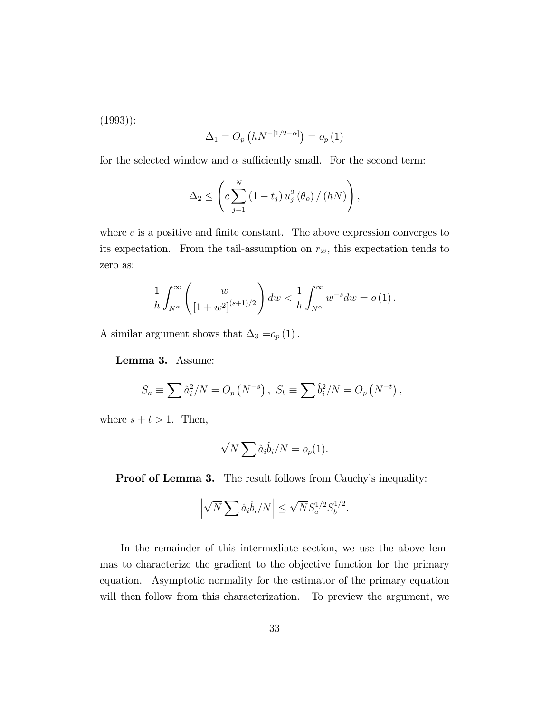(1993)):

$$
\Delta_1 = O_p\left(hN^{-\left[1/2-\alpha\right]}\right) = o_p\left(1\right)
$$

for the selected window and  $\alpha$  sufficiently small. For the second term:

$$
\Delta_2 \leq \left( c \sum_{j=1}^N \left( 1 - t_j \right) u_j^2 \left( \theta_o \right) / \left( hN \right) \right),
$$

where  $c$  is a positive and finite constant. The above expression converges to its expectation. From the tail-assumption on  $r_{2i}$ , this expectation tends to zero as:

$$
\frac{1}{h} \int_{N^{\alpha}}^{\infty} \left( \frac{w}{[1+w^2]^{(s+1)/2}} \right) dw < \frac{1}{h} \int_{N^{\alpha}}^{\infty} w^{-s} dw = o(1).
$$

A similar argument shows that  $\Delta_3 = o_p \left( 1 \right).$ 

Lemma 3. Assume:

$$
S_a \equiv \sum \hat{a}_i^2/N = O_p(N^{-s}), \ S_b \equiv \sum \hat{b}_i^2/N = O_p(N^{-t}),
$$

where  $s + t > 1$ . Then,

$$
\sqrt{N} \sum \hat{a}_i \hat{b}_i / N = o_p(1).
$$

**Proof of Lemma 3.** The result follows from Cauchy's inequality:

$$
\left|\sqrt{N}\sum \hat{a}_i\hat{b}_i/N\right| \leq \sqrt{N}S_a^{1/2}S_b^{1/2}.
$$

In the remainder of this intermediate section, we use the above lemmas to characterize the gradient to the objective function for the primary equation. Asymptotic normality for the estimator of the primary equation will then follow from this characterization. To preview the argument, we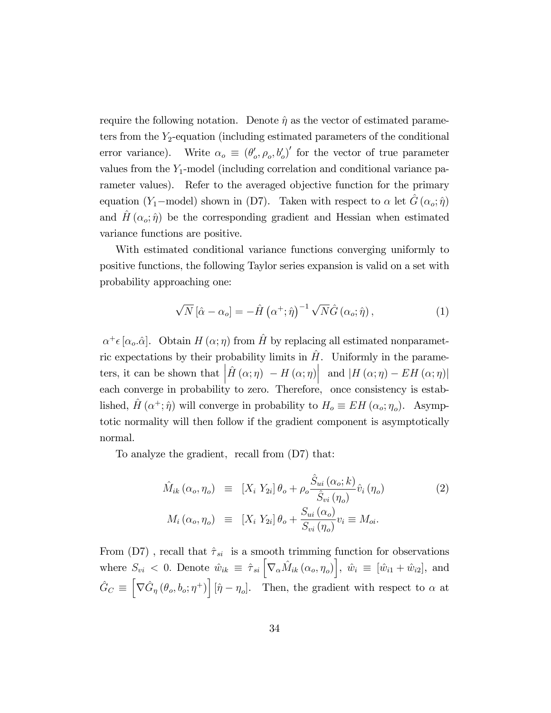require the following notation. Denote  $\hat{\eta}$  as the vector of estimated parameters from the  $Y_2$ -equation (including estimated parameters of the conditional error variance). Write  $\alpha_o \equiv (\theta_o', \rho_o, b_o')'$  for the vector of true parameter values from the  $Y_1$ -model (including correlation and conditional variance parameter values). Refer to the averaged objective function for the primary equation (Y<sub>1</sub>-model) shown in (D7). Taken with respect to  $\alpha$  let  $\hat{G} (\alpha_o; \hat{\eta})$ and  $H(\alpha_{o}; \hat{\eta})$  be the corresponding gradient and Hessian when estimated variance functions are positive.

With estimated conditional variance functions converging uniformly to positive functions, the following Taylor series expansion is valid on a set with probability approaching one:

$$
\sqrt{N} \left[ \hat{\alpha} - \alpha_o \right] = -\hat{H} \left( \alpha^+; \hat{\eta} \right)^{-1} \sqrt{N} \hat{G} \left( \alpha_o; \hat{\eta} \right), \tag{1}
$$

 $\alpha^+ \epsilon [\alpha_o.\hat{\alpha}]$ . Obtain  $H (\alpha; \eta)$  from  $\hat{H}$  by replacing all estimated nonparametric expectations by their probability limits in  $\hat{H}$ . Uniformly in the parameters, it can be shown that  $\left| \hat{H}\left(\alpha;\eta\right) \right| - H\left(\alpha;\eta\right) \right|$  and  $\left| H\left(\alpha;\eta\right) - EH\left(\alpha;\eta\right) \right|$ each converge in probability to zero. Therefore, once consistency is established,  $\hat{H} (\alpha^+; \hat{\eta})$  will converge in probability to  $H_o \equiv EH (\alpha_o; \eta_o)$ . Asymptotic normality will then follow if the gradient component is asymptotically normal.

To analyze the gradient, recall from (D7) that:

$$
\hat{M}_{ik}(\alpha_o, \eta_o) \equiv [X_i Y_{2i}] \theta_o + \rho_o \frac{\hat{S}_{ui}(\alpha_o; k)}{\hat{S}_{vi}(\eta_o)} \hat{v}_i(\eta_o)
$$
\n
$$
M_i(\alpha_o, \eta_o) \equiv [X_i Y_{2i}] \theta_o + \frac{S_{ui}(\alpha_o)}{S_{vi}(\eta_o)} v_i \equiv M_{oi}.
$$
\n(2)

From  $(D7)$ , recall that  $\hat{\tau}_{si}$  is a smooth trimming function for observations where  $S_{vi} < 0$ . Denote  $\hat{w}_{ik} \equiv \hat{\tau}_{si} \left[ \nabla_{\alpha} \hat{M}_{ik} (\alpha_o, \eta_o) \right], \hat{w}_i \equiv [\hat{w}_{i1} + \hat{w}_{i2}],$  and  $\hat{G}_C \equiv$  $\left[\nabla \hat{G}_{\eta}(\theta_o, b_o; \eta^+) \right] [\hat{\eta} - \eta_o].$  Then, the gradient with respect to  $\alpha$  at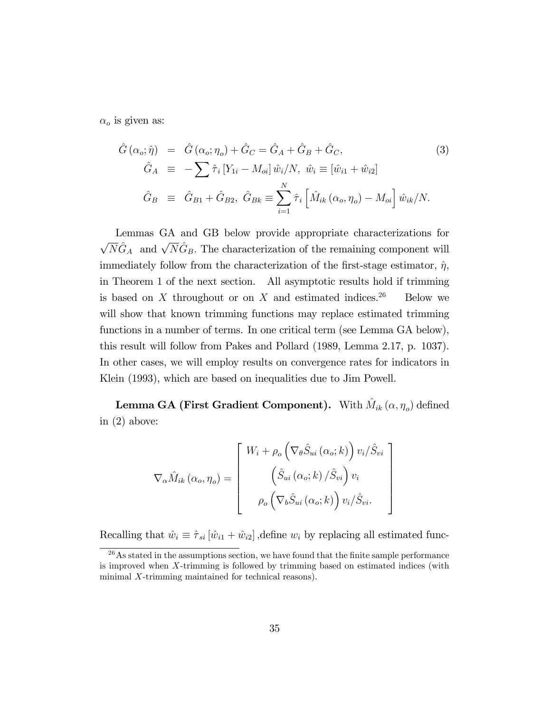$\alpha_o$  is given as:

$$
\hat{G}(\alpha_o; \hat{\eta}) = \hat{G}(\alpha_o; \eta_o) + \hat{G}_C = \hat{G}_A + \hat{G}_B + \hat{G}_C, \qquad (3)
$$
  

$$
\hat{G}_A \equiv -\sum \hat{\tau}_i \left[ Y_{1i} - M_{oi} \right] \hat{w}_i / N, \ \hat{w}_i \equiv \left[ \hat{w}_{i1} + \hat{w}_{i2} \right]
$$
  

$$
\hat{G}_B \equiv \hat{G}_{B1} + \hat{G}_{B2}, \ \hat{G}_{Bk} \equiv \sum_{i=1}^N \hat{\tau}_i \left[ \hat{M}_{ik} \left( \alpha_o, \eta_o \right) - M_{oi} \right] \hat{w}_{ik} / N.
$$

Lemmas GA and GB below provide appropriate characterizations for  $\sqrt{N}\hat{G}_A$  and  $\sqrt{N}\hat{G}_B$ . The characterization of the remaining component will immediately follow from the characterization of the first-stage estimator,  $\hat{\eta}$ , in Theorem 1 of the next section. All asymptotic results hold if trimming is based on  $X$  throughout or on  $X$  and estimated indices.<sup>26</sup> Below we will show that known trimming functions may replace estimated trimming functions in a number of terms. In one critical term (see Lemma GA below), this result will follow from Pakes and Pollard (1989, Lemma 2.17, p. 1037). In other cases, we will employ results on convergence rates for indicators in Klein (1993), which are based on inequalities due to Jim Powell.

Lemma GA (First Gradient Component). With  $\hat{M}_{ik}\left(\alpha,\eta_o\right)$  defined in (2) above:

$$
\nabla_{\alpha}\hat{M}_{ik}(\alpha_{o},\eta_{o}) = \begin{bmatrix} W_{i} + \rho_{o} \left( \nabla_{\theta}\hat{S}_{ui}(\alpha_{o};k) \right) v_{i}/\hat{S}_{vi} \\ \left( \hat{S}_{ui}(\alpha_{o};k) / \hat{S}_{vi} \right) v_{i} \\ \rho_{o} \left( \nabla_{b}\hat{S}_{ui}(\alpha_{o};k) \right) v_{i}/\hat{S}_{vi} . \end{bmatrix}
$$

Recalling that  $\hat{w}_i \equiv \hat{\tau}_{si} [\hat{w}_{i1} + \hat{w}_{i2}]$ , define  $w_i$  by replacing all estimated func-

 $^{26}$ As stated in the assumptions section, we have found that the finite sample performance is improved when X-trimming is followed by trimming based on estimated indices (with minimal X-trimming maintained for technical reasons).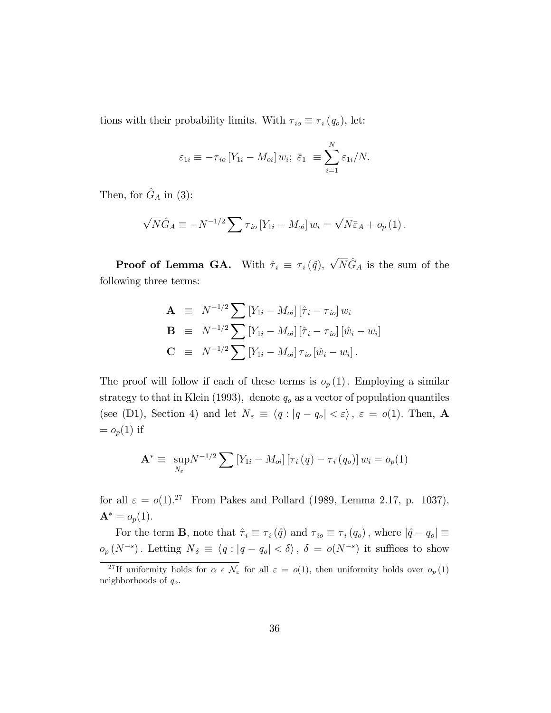tions with their probability limits. With  $\tau_{io} \equiv \tau_i(q_o)$ , let:

$$
\varepsilon_{1i} \equiv -\tau_{io} \left[ Y_{1i} - M_{oi} \right] w_{i}; \ \bar{\varepsilon}_{1} \equiv \sum_{i=1}^{N} \varepsilon_{1i} / N.
$$

Then, for  $\hat{G}_A$  in (3):

$$
\sqrt{N}\hat{G}_A \equiv -N^{-1/2}\sum \tau_{io}\left[Y_{1i}-M_{oi}\right]w_i = \sqrt{N}\bar{\varepsilon}_A + o_p\left(1\right).
$$

**Proof of Lemma GA.** With  $\hat{\tau}_i \equiv \tau_i(\hat{q}), \sqrt{N}\hat{G}_A$  is the sum of the following three terms:

$$
\mathbf{A} = N^{-1/2} \sum [Y_{1i} - M_{oi}] [\hat{\tau}_i - \tau_{io}] w_i \n\mathbf{B} = N^{-1/2} \sum [Y_{1i} - M_{oi}] [\hat{\tau}_i - \tau_{io}] [\hat{w}_i - w_i] \n\mathbf{C} = N^{-1/2} \sum [Y_{1i} - M_{oi}] \tau_{io} [\hat{w}_i - w_i].
$$

The proof will follow if each of these terms is  $o_p(1)$ . Employing a similar strategy to that in Klein (1993), denote  $q_o$  as a vector of population quantiles (see (D1), Section 4) and let  $N_{\varepsilon} \equiv \langle q : |q - q_o| < \varepsilon \rangle$ ,  $\varepsilon = o(1)$ . Then, A  $= o_p(1)$  if

$$
\mathbf{A}^* \equiv \sup_{N_{\varepsilon}} N^{-1/2} \sum \left[ Y_{1i} - M_{oi} \right] \left[ \tau_i \left( q \right) - \tau_i \left( q_o \right) \right] w_i = o_p(1)
$$

for all  $\varepsilon = o(1).^{27}$  From Pakes and Pollard (1989, Lemma 2.17, p. 1037),  ${\bf A}^* = o_p(1).$ 

For the term **B**, note that  $\hat{\tau}_i \equiv \tau_i (\hat{q})$  and  $\tau_{io} \equiv \tau_i (q_o)$ , where  $|\hat{q} - q_o| \equiv$  $o_p(N^{-s})$ . Letting  $N_{\delta} \equiv \langle q : |q - q_o| < \delta \rangle$ ,  $\delta = o(N^{-s})$  it suffices to show

<sup>&</sup>lt;sup>27</sup>If uniformity holds for  $\alpha \in \mathcal{N}_{\varepsilon}$  for all  $\varepsilon = o(1)$ , then uniformity holds over  $o_p(1)$ neighborhoods of  $q_o$ .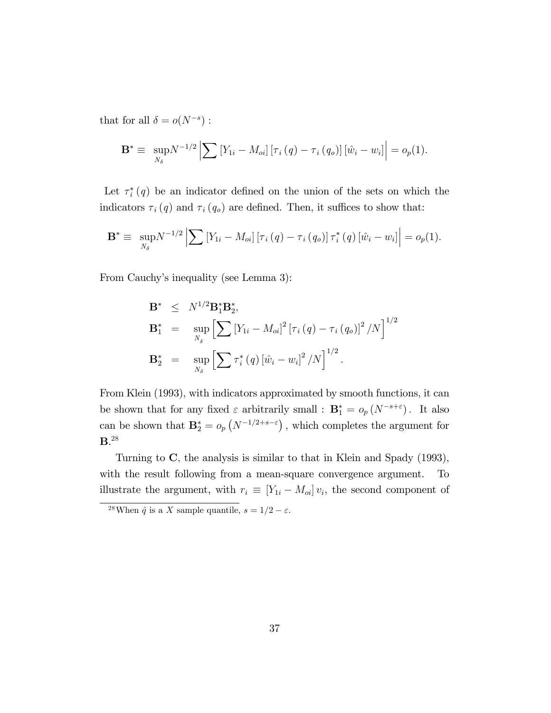that for all  $\delta = o(N^{-s})$ :

$$
\mathbf{B}^* \equiv \sup_{N_{\delta}} N^{-1/2} \left| \sum \left[ Y_{1i} - M_{oi} \right] \left[ \tau_i \left( q \right) - \tau_i \left( q_o \right) \right] \left[ \hat{w}_i - w_i \right] \right| = o_p(1).
$$

Let  $\tau_i^*(q)$  be an indicator defined on the union of the sets on which the indicators  $\tau_i(q)$  and  $\tau_i(q_o)$  are defined. Then, it suffices to show that:

$$
\mathbf{B}^* \equiv \sup_{N_{\delta}} N^{-1/2} \left| \sum \left[ Y_{1i} - M_{oi} \right] \left[ \tau_i \left( q \right) - \tau_i \left( q_o \right) \right] \tau_i^* \left( q \right) \left[ \hat{w}_i - w_i \right] \right| = o_p(1).
$$

From Cauchy's inequality (see Lemma 3):

$$
B* \leq N^{1/2}B1*B2*,\nB1* = \sup_{N_{\delta}} \left[ \sum [Y_{1i} - M_{oi}]^{2} [\tau_{i}(q) - \tau_{i}(q_{o})]^{2} / N \right]^{1/2} \nB2* = \sup_{N_{\delta}} \left[ \sum \tau_{i}^{*}(q) [\hat{w}_{i} - w_{i}]^{2} / N \right]^{1/2}.
$$

From Klein (1993), with indicators approximated by smooth functions, it can be shown that for any fixed  $\varepsilon$  arbitrarily small :  $\mathbf{B}_{1}^{*} = o_{p}(N^{-s+\varepsilon})$ . It also can be shown that  $\mathbf{B}_{2}^{*} = o_p\left(N^{-1/2+s-\varepsilon}\right)$ , which completes the argument for  $\mathbf{B}^{.28}$ 

Turning to C; the analysis is similar to that in Klein and Spady (1993), with the result following from a mean-square convergence argument. To illustrate the argument, with  $r_i \equiv [Y_{1i} - M_{oi}] v_i$ , the second component of

<sup>&</sup>lt;sup>28</sup>When  $\hat{q}$  is a X sample quantile,  $s = 1/2 - \varepsilon$ .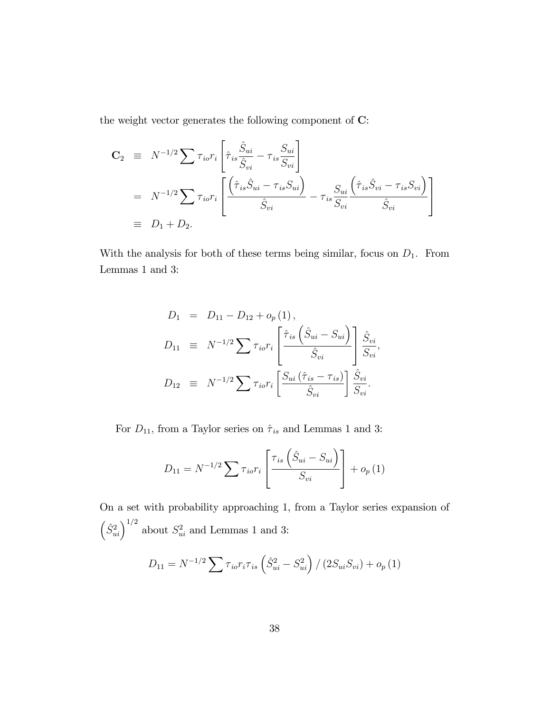the weight vector generates the following component of C:

$$
\begin{split}\n\mathbf{C}_{2} &\equiv N^{-1/2} \sum \tau_{io} r_{i} \left[ \hat{\tau}_{is} \frac{\hat{S}_{ui}}{\hat{S}_{vi}} - \tau_{is} \frac{S_{ui}}{S_{vi}} \right] \\
&= N^{-1/2} \sum \tau_{io} r_{i} \left[ \frac{\left( \hat{\tau}_{is} \hat{S}_{ui} - \tau_{is} S_{ui} \right)}{\hat{S}_{vi}} - \tau_{is} \frac{S_{ui}}{S_{vi}} \frac{\left( \hat{\tau}_{is} \hat{S}_{vi} - \tau_{is} S_{vi} \right)}{\hat{S}_{vi}} \right] \\
&\equiv D_{1} + D_{2}.\n\end{split}
$$

With the analysis for both of these terms being similar, focus on  $D_1$ . From Lemmas 1 and 3:

$$
D_1 = D_{11} - D_{12} + o_p(1),
$$
  
\n
$$
D_{11} = N^{-1/2} \sum \tau_{io} r_i \left[ \frac{\hat{\tau}_{is} \left( \hat{S}_{ui} - S_{ui} \right)}{\hat{S}_{vi}} \right] \frac{\hat{S}_{vi}}{S_{vi}},
$$
  
\n
$$
D_{12} = N^{-1/2} \sum \tau_{io} r_i \left[ \frac{S_{ui} \left( \hat{\tau}_{is} - \tau_{is} \right)}{\hat{S}_{vi}} \right] \frac{\hat{S}_{vi}}{S_{vi}}.
$$

For  $D_{11},$  from a Taylor series on  $\hat{\tau}_{is}$  and Lemmas 1 and 3:

$$
D_{11} = N^{-1/2} \sum \tau_{io} r_i \left[ \frac{\tau_{is} \left( \hat{S}_{ui} - S_{ui} \right)}{S_{vi}} \right] + o_p(1)
$$

On a set with probability approaching 1, from a Taylor series expansion of  $\left(\hat{S}_{ui}^2\right)^{1/2}$  about  $S_{ui}^2$  and Lemmas 1 and 3:

$$
D_{11} = N^{-1/2} \sum \tau_{io} r_i \tau_{is} \left( \hat{S}_{ui}^2 - S_{ui}^2 \right) / \left( 2 S_{ui} S_{vi} \right) + o_p(1)
$$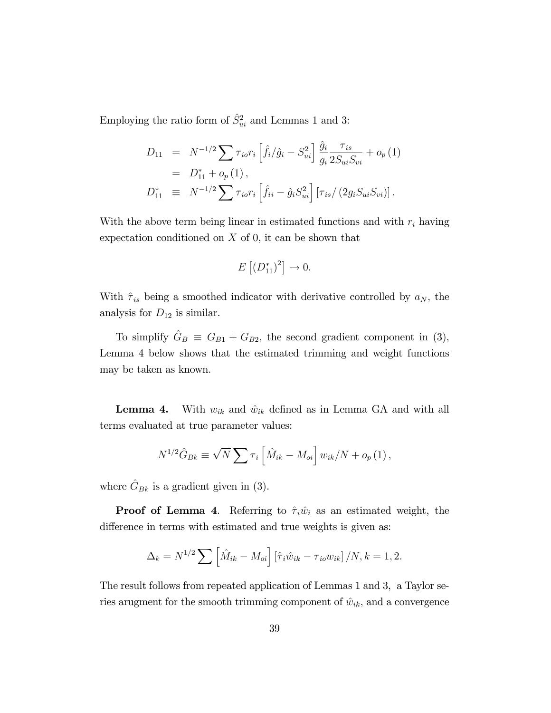Employing the ratio form of  $\hat{S}^2_{ui}$  and Lemmas 1 and 3:

$$
D_{11} = N^{-1/2} \sum \tau_{io} r_i \left[ \hat{f}_i / \hat{g}_i - S_{ui}^2 \right] \frac{\hat{g}_i}{g_i} \frac{\tau_{is}}{2S_{ui}S_{vi}} + o_p(1)
$$
  
=  $D_{11}^* + o_p(1)$ ,  

$$
D_{11}^* \equiv N^{-1/2} \sum \tau_{io} r_i \left[ \hat{f}_{ii} - \hat{g}_i S_{ui}^2 \right] \left[ \tau_{is} / (2g_i S_{ui} S_{vi}) \right].
$$

With the above term being linear in estimated functions and with  $r_i$  having expectation conditioned on  $X$  of 0, it can be shown that

$$
E\left[ \left(D_{11}^*\right)^2\right] \to 0.
$$

With  $\hat{\tau}_{is}$  being a smoothed indicator with derivative controlled by  $a_N$ , the analysis for  $D_{12}$  is similar.

To simplify  $\hat{G}_B \equiv G_{B1} + G_{B2}$ , the second gradient component in (3), Lemma 4 below shows that the estimated trimming and weight functions may be taken as known.

**Lemma 4.** With  $w_{ik}$  and  $\hat{w}_{ik}$  defined as in Lemma GA and with all terms evaluated at true parameter values:

$$
N^{1/2}\hat{G}_{Bk} \equiv \sqrt{N} \sum \tau_i \left[ \hat{M}_{ik} - M_{oi} \right] w_{ik}/N + o_p(1),
$$

where  $\hat{G}_{Bk}$  is a gradient given in (3).

**Proof of Lemma 4.** Referring to  $\hat{\tau}_i \hat{w}_i$  as an estimated weight, the difference in terms with estimated and true weights is given as:

$$
\Delta_k = N^{1/2} \sum \left[ \hat{M}_{ik} - M_{oi} \right] \left[ \hat{\tau}_i \hat{w}_{ik} - \tau_{io} w_{ik} \right] / N, k = 1, 2.
$$

The result follows from repeated application of Lemmas 1 and 3, a Taylor series arugment for the smooth trimming component of  $\hat{w}_{ik}$ , and a convergence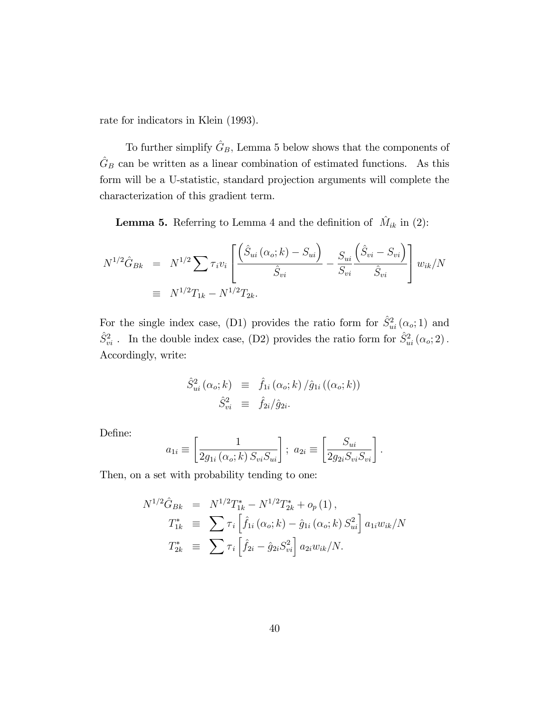rate for indicators in Klein (1993).

To further simplify  $\hat{G}_B$ , Lemma 5 below shows that the components of  $\hat{G}_B$  can be written as a linear combination of estimated functions. As this form will be a U-statistic, standard projection arguments will complete the characterization of this gradient term.

**Lemma 5.** Referring to Lemma 4 and the definition of  $\hat{M}_{ik}$  in (2):

$$
N^{1/2}\hat{G}_{Bk} = N^{1/2} \sum \tau_i v_i \left[ \frac{\left(\hat{S}_{ui}(\alpha_o; k) - S_{ui}\right)}{\hat{S}_{vi}} - \frac{S_{ui}}{S_{vi}} \frac{\left(\hat{S}_{vi} - S_{vi}\right)}{\hat{S}_{vi}} \right] w_{ik}/N
$$
  
\n
$$
\equiv N^{1/2}T_{1k} - N^{1/2}T_{2k}.
$$

For the single index case, (D1) provides the ratio form for  $\hat{S}^2_{ui}(\alpha_o; 1)$  and  $\hat{S}^2_{vi}$ . In the double index case, (D2) provides the ratio form for  $\hat{S}^2_{ui} (\alpha_o; 2)$ . Accordingly, write:

$$
\hat{S}_{ui}^2(\alpha_o; k) \equiv \hat{f}_{1i}(\alpha_o; k) / \hat{g}_{1i}((\alpha_o; k))
$$
  

$$
\hat{S}_{vi}^2 \equiv \hat{f}_{2i} / \hat{g}_{2i}.
$$

Define:

$$
a_{1i} \equiv \left[\frac{1}{2g_{1i}(\alpha_o; k) S_{vi} S_{ui}}\right]; \ a_{2i} \equiv \left[\frac{S_{ui}}{2g_{2i} S_{vi} S_{vi}}\right].
$$

Then, on a set with probability tending to one:

$$
N^{1/2}\hat{G}_{Bk} = N^{1/2}T_{1k}^* - N^{1/2}T_{2k}^* + o_p(1),
$$
  
\n
$$
T_{1k}^* \equiv \sum \tau_i \left[ \hat{f}_{1i} (\alpha_o; k) - \hat{g}_{1i} (\alpha_o; k) S_{ui}^2 \right] a_{1i} w_{ik}/N
$$
  
\n
$$
T_{2k}^* \equiv \sum \tau_i \left[ \hat{f}_{2i} - \hat{g}_{2i} S_{vi}^2 \right] a_{2i} w_{ik}/N.
$$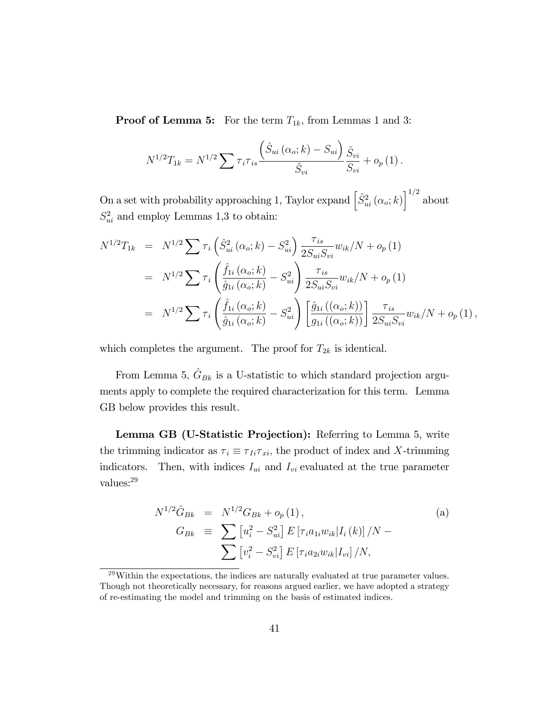**Proof of Lemma 5:** For the term  $T_{1k}$ , from Lemmas 1 and 3:

$$
N^{1/2}T_{1k} = N^{1/2} \sum \tau_i \tau_{is} \frac{\left(\hat{S}_{ui} \left(\alpha_o; k\right) - S_{ui}\right)}{\hat{S}_{vi}} \frac{\hat{S}_{vi}}{S_{vi}} + o_p\left(1\right).
$$

On a set with probability approaching 1, Taylor expand  $\left[\hat{S}^2_{ui}(\alpha_o; k)\right]^{1/2}$  about  $S_{ui}^2$  and employ Lemmas 1,3 to obtain:

$$
N^{1/2}T_{1k} = N^{1/2} \sum \tau_i \left( \hat{S}_{ui}^2 (\alpha_o; k) - S_{ui}^2 \right) \frac{\tau_{is}}{2S_{ui}S_{vi}} w_{ik}/N + o_p(1)
$$
  
\n
$$
= N^{1/2} \sum \tau_i \left( \frac{\hat{f}_{1i} (\alpha_o; k)}{\hat{g}_{1i} (\alpha_o; k)} - S_{ui}^2 \right) \frac{\tau_{is}}{2S_{ui}S_{vi}} w_{ik}/N + o_p(1)
$$
  
\n
$$
= N^{1/2} \sum \tau_i \left( \frac{\hat{f}_{1i} (\alpha_o; k)}{\hat{g}_{1i} (\alpha_o; k)} - S_{ui}^2 \right) \left[ \frac{\hat{g}_{1i} ((\alpha_o; k))}{g_{1i} ((\alpha_o; k))} \right] \frac{\tau_{is}}{2S_{ui}S_{vi}} w_{ik}/N + o_p(1),
$$

which completes the argument. The proof for  $T_{2k}$  is identical.

From Lemma 5,  $\hat{G}_{Bk}$  is a U-statistic to which standard projection arguments apply to complete the required characterization for this term. Lemma GB below provides this result.

Lemma GB (U-Statistic Projection): Referring to Lemma 5, write the trimming indicator as  $\tau_i \equiv \tau_{Ii}\tau_{xi}$ , the product of index and X-trimming indicators. Then, with indices  $I_{ui}$  and  $I_{vi}$  evaluated at the true parameter values:<sup>29</sup>

$$
N^{1/2}\hat{G}_{Bk} = N^{1/2}G_{Bk} + o_p(1),
$$
  
\n
$$
G_{Bk} \equiv \sum [u_i^2 - S_{ui}^2] E [\tau_i a_{1i} w_{ik} | I_i(k)] / N -
$$
  
\n
$$
\sum [v_i^2 - S_{vi}^2] E [\tau_i a_{2i} w_{ik} | I_{vi}] / N,
$$
\n(a)

 $^{29}$ Within the expectations, the indices are naturally evaluated at true parameter values. Though not theoretically necessary, for reasons argued earlier, we have adopted a strategy of re-estimating the model and trimming on the basis of estimated indices.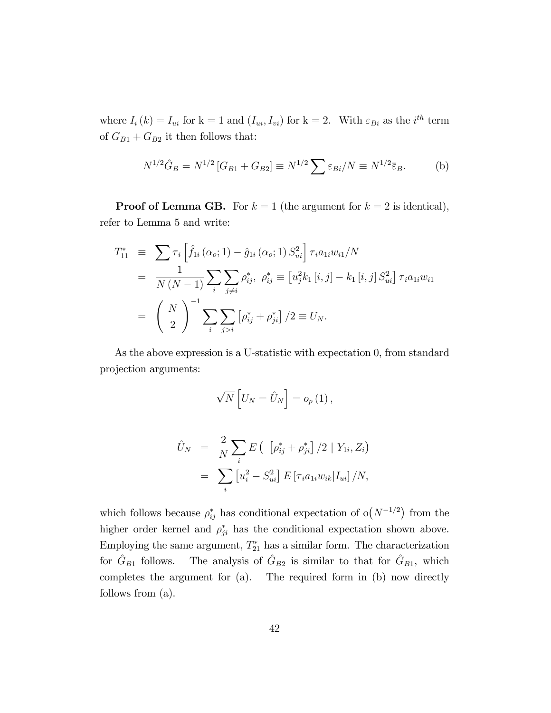where  $I_i(k) = I_{ui}$  for  $k = 1$  and  $(I_{ui}, I_{vi})$  for  $k = 2$ . With  $\varepsilon_{Bi}$  as the *i*<sup>th</sup> term of  $G_{B1} + G_{B2}$  it then follows that:

$$
N^{1/2}\hat{G}_B = N^{1/2} [G_{B1} + G_{B2}] \equiv N^{1/2} \sum \varepsilon_{Bi} / N \equiv N^{1/2} \bar{\varepsilon}_B.
$$
 (b)

**Proof of Lemma GB.** For  $k = 1$  (the argument for  $k = 2$  is identical), refer to Lemma 5 and write:

$$
T_{11}^{*} \equiv \sum \tau_{i} \left[ \hat{f}_{1i} \left( \alpha_{o}; 1 \right) - \hat{g}_{1i} \left( \alpha_{o}; 1 \right) S_{ui}^{2} \right] \tau_{i} a_{1i} w_{i1}/N
$$
  
\n
$$
= \frac{1}{N \left( N - 1 \right)} \sum_{i} \sum_{j \neq i} \rho_{ij}^{*}, \ \rho_{ij}^{*} \equiv \left[ u_{j}^{2} k_{1} \left[ i, j \right] - k_{1} \left[ i, j \right] S_{ui}^{2} \right] \tau_{i} a_{1i} w_{i1}
$$
  
\n
$$
= \left( \frac{N}{2} \right)^{-1} \sum_{i} \sum_{j > i} \left[ \rho_{ij}^{*} + \rho_{ji}^{*} \right] / 2 \equiv U_{N}.
$$

As the above expression is a U-statistic with expectation 0, from standard projection arguments:

$$
\sqrt{N}\left[U_N=\hat{U}_N\right]=o_p\left(1\right),\,
$$

$$
\hat{U}_N = \frac{2}{N} \sum_i E\left( \left[ \rho_{ij}^* + \rho_{ji}^* \right] / 2 \mid Y_{1i}, Z_i \right)
$$
  
= 
$$
\sum_i \left[ u_i^2 - S_{ui}^2 \right] E\left[ \tau_i a_{1i} w_{ik} | I_{ui} \right] / N,
$$

which follows because  $\rho_{ij}^*$  has conditional expectation of  $o(N^{-1/2})$  from the higher order kernel and  $\rho_{ji}^*$  has the conditional expectation shown above. Employing the same argument,  $T_{21}^*$  has a similar form. The characterization for  $\hat{G}_{B1}$  follows. The analysis of  $\hat{G}_{B2}$  is similar to that for  $\hat{G}_{B1}$ , which completes the argument for (a). The required form in (b) now directly follows from (a).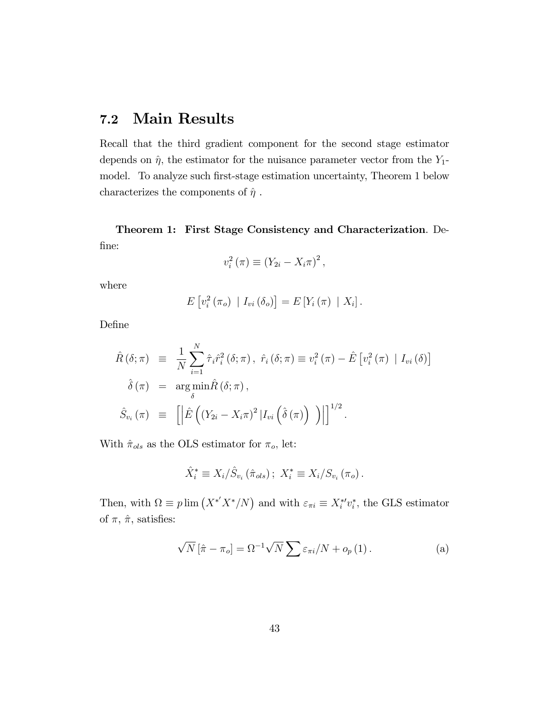## 7.2 Main Results

Recall that the third gradient component for the second stage estimator depends on  $\hat{\eta}$ , the estimator for the nuisance parameter vector from the Y<sub>1</sub>model. To analyze such first-stage estimation uncertainty, Theorem 1 below characterizes the components of  $\hat{\eta}$ .

Theorem 1: First Stage Consistency and Characterization. De-Öne:

$$
v_i^2(\pi) \equiv (Y_{2i} - X_i \pi)^2,
$$

where

$$
E[v_i^2(\pi_o) | I_{vi}(\delta_o)] = E[Y_i(\pi) | X_i].
$$

DeÖne

$$
\hat{R}(\delta; \pi) \equiv \frac{1}{N} \sum_{i=1}^{N} \hat{\tau}_{i} \hat{r}_{i}^{2}(\delta; \pi), \ \hat{r}_{i}(\delta; \pi) \equiv v_{i}^{2}(\pi) - \hat{E} [v_{i}^{2}(\pi) | I_{vi}(\delta)]
$$
\n
$$
\hat{\delta}(\pi) = \arg \min_{\delta} \hat{R}(\delta; \pi),
$$
\n
$$
\hat{S}_{v_{i}}(\pi) \equiv \left[ \left| \hat{E} \left( (Y_{2i} - X_{i} \pi)^{2} | I_{vi} \left( \hat{\delta}(\pi) \right) \right) \right| \right]^{1/2}.
$$

With  $\hat{\pi}_{ols}$  as the OLS estimator for  $\pi_o$ , let:

$$
\hat{X}_{i}^{*} \equiv X_{i}/\hat{S}_{v_{i}} (\hat{\pi}_{ols}) ; X_{i}^{*} \equiv X_{i}/S_{v_{i}} (\pi_{o}).
$$

Then, with  $\Omega \equiv p \lim (X^* X^* / N)$  and with  $\varepsilon_{\pi i} \equiv X_i^* v_i^*$ , the GLS estimator of  $\pi$ ,  $\hat{\pi}$ , satisfies:

$$
\sqrt{N} \left[ \hat{\pi} - \pi_o \right] = \Omega^{-1} \sqrt{N} \sum \varepsilon_{\pi i} / N + o_p \left( 1 \right). \tag{a}
$$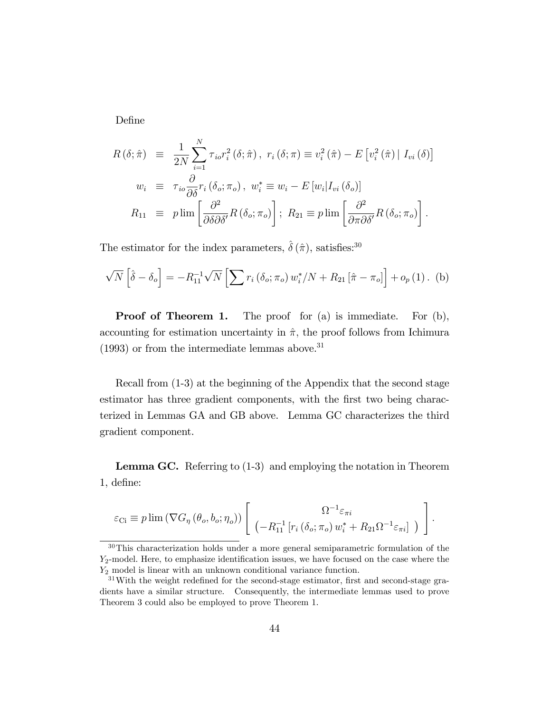DeÖne

$$
R(\delta; \hat{\pi}) \equiv \frac{1}{2N} \sum_{i=1}^{N} \tau_{io} r_{i}^{2}(\delta; \hat{\pi}), \ r_{i}(\delta; \pi) \equiv v_{i}^{2}(\hat{\pi}) - E[v_{i}^{2}(\hat{\pi}) | I_{vi}(\delta)]
$$
  
\n
$$
w_{i} \equiv \tau_{io} \frac{\partial}{\partial \delta} r_{i}(\delta_{o}; \pi_{o}), \ w_{i}^{*} \equiv w_{i} - E[w_{i}|I_{vi}(\delta_{o})]
$$
  
\n
$$
R_{11} \equiv p \lim \left[ \frac{\partial^{2}}{\partial \delta \partial \delta'} R(\delta_{o}; \pi_{o}) \right]; \ R_{21} \equiv p \lim \left[ \frac{\partial^{2}}{\partial \pi \partial \delta'} R(\delta_{o}; \pi_{o}) \right].
$$

The estimator for the index parameters,  $\hat{\delta}(\hat{\pi})$ , satisfies:<sup>30</sup>

$$
\sqrt{N}\left[\hat{\delta} - \delta_o\right] = -R_{11}^{-1}\sqrt{N}\left[\sum r_i\left(\delta_o; \pi_o\right)w_i^*/N + R_{21}\left[\hat{\pi} - \pi_o\right]\right] + o_p\left(1\right). \tag{b}
$$

**Proof of Theorem 1.** The proof for (a) is immediate. For (b), accounting for estimation uncertainty in  $\hat{\pi}$ , the proof follows from Ichimura  $(1993)$  or from the intermediate lemmas above.<sup>31</sup>

Recall from (1-3) at the beginning of the Appendix that the second stage estimator has three gradient components, with the first two being characterized in Lemmas GA and GB above. Lemma GC characterizes the third gradient component.

Lemma GC. Referring to  $(1-3)$  and employing the notation in Theorem 1, deÖne:

$$
\varepsilon_{\text{Ci}} \equiv p \lim \left( \nabla G_{\eta} \left( \theta_o, b_o; \eta_o \right) \right) \left[ \begin{array}{c} \Omega^{-1} \varepsilon_{\pi i} \\ \left( -R_{11}^{-1} \left[ r_i \left( \delta_o; \pi_o \right) w_i^* + R_{21} \Omega^{-1} \varepsilon_{\pi i} \right] \end{array} \right) \right].
$$

<sup>30</sup>This characterization holds under a more general semiparametric formulation of the  $Y_2$ -model. Here, to emphasize identification issues, we have focused on the case where the Y<sup>2</sup> model is linear with an unknown conditional variance function.

 $31$ With the weight redefined for the second-stage estimator, first and second-stage gradients have a similar structure. Consequently, the intermediate lemmas used to prove Theorem 3 could also be employed to prove Theorem 1.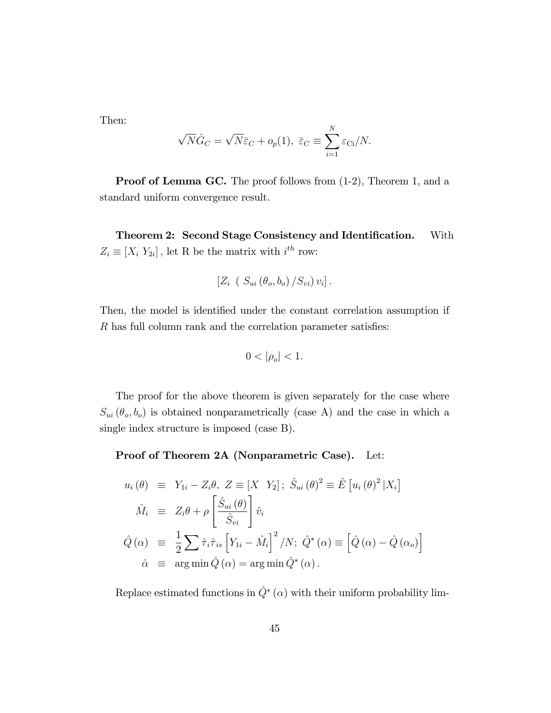Then:

$$
\sqrt{N}\hat{G}_C = \sqrt{N}\bar{\varepsilon}_C + o_p(1), \ \bar{\varepsilon}_C \equiv \sum_{i=1}^N \varepsilon_{\text{Ci}}/N.
$$

**Proof of Lemma GC.** The proof follows from  $(1-2)$ , Theorem 1, and a standard uniform convergence result.

Theorem 2: Second Stage Consistency and Identification. With  $Z_i \equiv [X_i Y_{2i}]$ , let R be the matrix with  $i^{th}$  row:

$$
[Z_i \left(S_{ui}(\theta_o, b_o) / S_{vi}) v_i].
$$

Then, the model is identified under the constant correlation assumption if  $R$  has full column rank and the correlation parameter satisfies:

$$
0<|\rho_o|<1.
$$

The proof for the above theorem is given separately for the case where  $S_{ui}(\theta_o, b_o)$  is obtained nonparametrically (case A) and the case in which a single index structure is imposed (case B).

Proof of Theorem 2A (Nonparametric Case). Let:

$$
u_i(\theta) \equiv Y_{1i} - Z_i \theta, Z \equiv [X \ Y_2]; \ \hat{S}_{ui}(\theta)^2 \equiv \hat{E} [u_i(\theta)^2 | X_i]
$$
  
\n
$$
\hat{M}_i \equiv Z_i \theta + \rho \left[ \frac{\hat{S}_{ui}(\theta)}{\hat{S}_{vi}} \right] \hat{v}_i
$$
  
\n
$$
\hat{Q}(\alpha) \equiv \frac{1}{2} \sum \hat{\tau}_i \hat{\tau}_{is} \left[ Y_{1i} - \hat{M}_i \right]^2 / N; \ \hat{Q}^*(\alpha) \equiv \left[ \hat{Q}(\alpha) - \hat{Q}(\alpha_o) \right]
$$
  
\n
$$
\hat{\alpha} \equiv \arg \min \hat{Q}(\alpha) = \arg \min \hat{Q}^*(\alpha).
$$

Replace estimated functions in  $\hat{Q}^*(\alpha)$  with their uniform probability lim-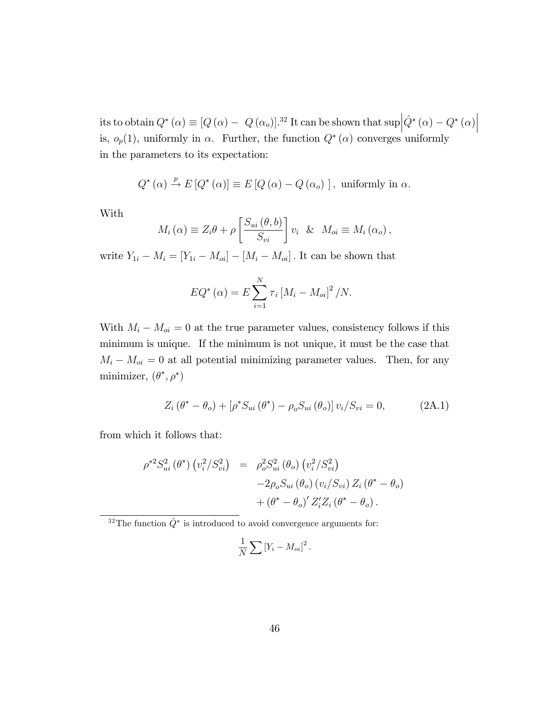its to obtain  $Q^*(\alpha) \equiv [Q(\alpha) - Q(\alpha_o)]^{32}$  It can be shown that  $\sup_{\alpha \in \mathbb{R}^3} |\hat{Q}^*(\alpha) - Q^*(\alpha)|$ is,  $o_p(1)$ , uniformly in  $\alpha$ . Further, the function  $Q^*(\alpha)$  converges uniformly in the parameters to its expectation:

$$
Q^*(\alpha) \stackrel{p}{\to} E[Q^*(\alpha)] \equiv E[Q(\alpha) - Q(\alpha_o)], \text{ uniformly in } \alpha.
$$

With

$$
M_i(\alpha) \equiv Z_i \theta + \rho \left[ \frac{S_{ui}(\theta, b)}{S_{vi}} \right] v_i \& M_{oi} \equiv M_i(\alpha_o),
$$

write  $Y_{1i} - M_i = [Y_{1i} - M_{oi}] - [M_i - M_{oi}]$ . It can be shown that

$$
EQ^{*} (\alpha) = E \sum_{i=1}^{N} \tau_i [M_i - M_{oi}]^2 / N.
$$

With  $M_i - M_{oi} = 0$  at the true parameter values, consistency follows if this minimum is unique. If the minimum is not unique, it must be the case that  $M_i - M_{oi} = 0$  at all potential minimizing parameter values. Then, for any minimizer,  $(\theta^*, \rho^*)$ 

$$
Z_i (\theta^* - \theta_o) + [\rho^* S_{ui} (\theta^*) - \rho_o S_{ui} (\theta_o)] v_i / S_{vi} = 0,
$$
 (2A.1)

from which it follows that:

$$
\rho^{*2} S_{ui}^2(\theta^*) \left( v_i^2 / S_{vi}^2 \right) = \rho_o^2 S_{ui}^2(\theta_o) \left( v_i^2 / S_{vi}^2 \right) \n-2 \rho_o S_{ui}(\theta_o) \left( v_i / S_{vi} \right) Z_i (\theta^* - \theta_o) \n+ (\theta^* - \theta_o)' Z_i' Z_i (\theta^* - \theta_o).
$$

<sup>32</sup>The function  $\hat{Q}^*$  is introduced to avoid convergence arguments for:

$$
\frac{1}{N}\sum \left[Y_i - M_{oi}\right]^2.
$$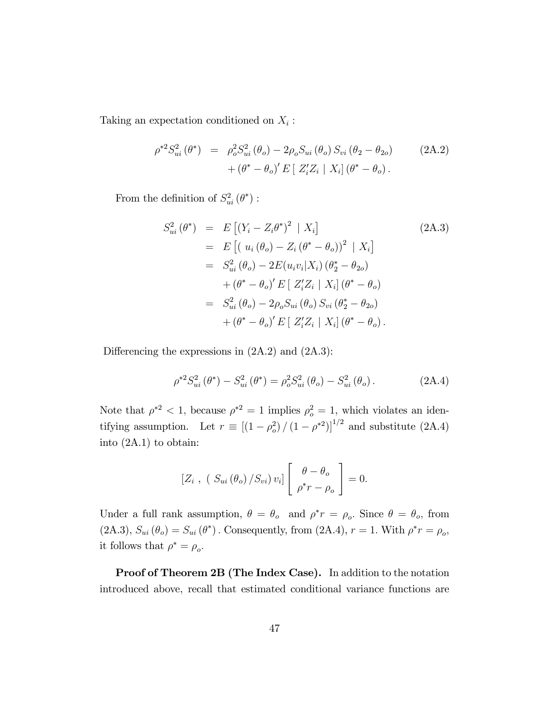Taking an expectation conditioned on  $X_i$ :

$$
\rho^{*2} S_{ui}^2(\theta^*) = \rho_o^2 S_{ui}^2(\theta_o) - 2\rho_o S_{ui}(\theta_o) S_{vi}(\theta_2 - \theta_{2o}) + (\theta^* - \theta_o)' E[Z_i' Z_i | X_i] (\theta^* - \theta_o).
$$
\n(2A.2)

From the definition of  $S^2_{ui}(\theta^*)$ :

$$
S_{ui}^{2}(\theta^{*}) = E [(Y_{i} - Z_{i}\theta^{*})^{2} | X_{i}]
$$
\n
$$
= E [(u_{i} (\theta_{o}) - Z_{i} (\theta^{*} - \theta_{o}))^{2} | X_{i}]
$$
\n
$$
= S_{ui}^{2} (\theta_{o}) - 2E (u_{i}v_{i}|X_{i}) (\theta_{2}^{*} - \theta_{2o})
$$
\n
$$
+ (\theta^{*} - \theta_{o})' E [ Z'_{i} Z_{i} | X_{i}] (\theta^{*} - \theta_{o})
$$
\n
$$
= S_{ui}^{2} (\theta_{o}) - 2\rho_{o} S_{ui} (\theta_{o}) S_{vi} (\theta_{2}^{*} - \theta_{2o})
$$
\n
$$
+ (\theta^{*} - \theta_{o})' E [ Z'_{i} Z_{i} | X_{i}] (\theta^{*} - \theta_{o}).
$$
\n(2A.3)

Differencing the expressions in  $(2A.2)$  and  $(2A.3)$ :

$$
\rho^{*2} S_{ui}^2(\theta^*) - S_{ui}^2(\theta^*) = \rho_o^2 S_{ui}^2(\theta_o) - S_{ui}^2(\theta_o).
$$
 (2A.4)

Note that  $\rho^{*2} < 1$ , because  $\rho^{*2} = 1$  implies  $\rho_o^2 = 1$ , which violates an identifying assumption. Let  $r \equiv \left[ (1 - \rho_o^2) / (1 - \rho^{*2}) \right]^{1/2}$  and substitute (2A.4) into (2A.1) to obtain:

$$
\left[Z_i, (S_{ui}(\theta_o)/S_{vi})v_i\right] \left[\begin{array}{c} \theta - \theta_o \\ \rho^*r - \rho_o \end{array}\right] = 0.
$$

Under a full rank assumption,  $\theta = \theta_o$  and  $\rho^* r = \rho_o$ . Since  $\theta = \theta_o$ , from  $(2A.3), S_{ui}(\theta_o) = S_{ui}(\theta^*)$ . Consequently, from  $(2A.4), r = 1$ . With  $\rho^*r = \rho_o$ , it follows that  $\rho^* = \rho_o$ .

Proof of Theorem 2B (The Index Case). In addition to the notation introduced above, recall that estimated conditional variance functions are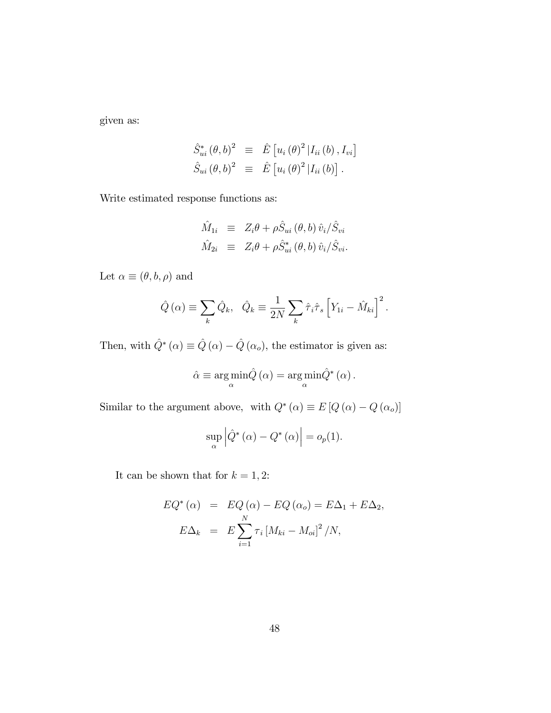given as:

$$
\hat{S}_{ui}^* (\theta, b)^2 \equiv \hat{E} [u_i (\theta)^2 | I_{ii} (b), I_{vi}]
$$
  

$$
\hat{S}_{ui} (\theta, b)^2 \equiv \hat{E} [u_i (\theta)^2 | I_{ii} (b)].
$$

Write estimated response functions as:

$$
\hat{M}_{1i} \equiv Z_i \theta + \rho \hat{S}_{ui} (\theta, b) \hat{v}_i / \hat{S}_{vi}
$$
  

$$
\hat{M}_{2i} \equiv Z_i \theta + \rho \hat{S}_{ui}^* (\theta, b) \hat{v}_i / \hat{S}_{vi}.
$$

Let  $\alpha \equiv (\theta, b, \rho)$  and

$$
\hat{Q}(\alpha) \equiv \sum_{k} \hat{Q}_{k}, \quad \hat{Q}_{k} \equiv \frac{1}{2N} \sum_{k} \hat{\tau}_{i} \hat{\tau}_{s} \left[ Y_{1i} - \hat{M}_{ki} \right]^{2}.
$$

Then, with  $\hat{Q}^*(\alpha) \equiv \hat{Q}(\alpha) - \hat{Q}(\alpha_o)$ , the estimator is given as:

$$
\hat{\alpha} \equiv \argmin_{\alpha} \hat{Q}(\alpha) = \argmin_{\alpha} \hat{Q}^*(\alpha).
$$

Similar to the argument above, with  $Q^*(\alpha) \equiv E[Q(\alpha) - Q(\alpha_o)]$ 

$$
\sup_{\alpha} \left| \hat{Q}^*(\alpha) - Q^*(\alpha) \right| = o_p(1).
$$

It can be shown that for  $k = 1, 2$ :

$$
EQ^*(\alpha) = EQ(\alpha) - EQ(\alpha_o) = E\Delta_1 + E\Delta_2,
$$
  

$$
E\Delta_k = E\sum_{i=1}^N \tau_i [M_{ki} - M_{oi}]^2 / N,
$$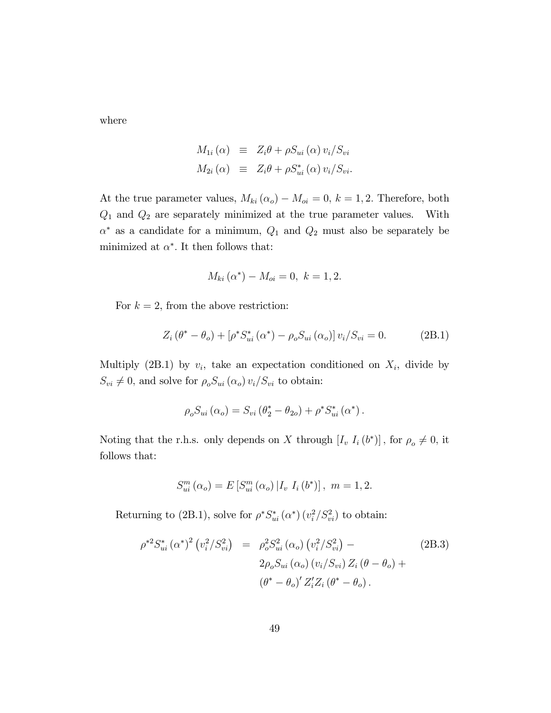where

$$
M_{1i}(\alpha) \equiv Z_i \theta + \rho S_{ui}(\alpha) v_i / S_{vi}
$$
  

$$
M_{2i}(\alpha) \equiv Z_i \theta + \rho S_{ui}^*(\alpha) v_i / S_{vi}.
$$

At the true parameter values,  $M_{ki} (\alpha_o) - M_{oi} = 0, k = 1, 2$ . Therefore, both  $Q_1$  and  $Q_2$  are separately minimized at the true parameter values. With  $\alpha^*$  as a candidate for a minimum,  $Q_1$  and  $Q_2$  must also be separately be minimized at  $\alpha^*$ . It then follows that:

$$
M_{ki}(\alpha^*) - M_{oi} = 0, \ k = 1, 2.
$$

For  $k = 2$ , from the above restriction:

$$
Z_i (\theta^* - \theta_o) + [\rho^* S_{ui}^* (\alpha^*) - \rho_o S_{ui} (\alpha_o)] v_i / S_{vi} = 0.
$$
 (2B.1)

Multiply (2B.1) by  $v_i$ , take an expectation conditioned on  $X_i$ , divide by  $S_{vi} \neq 0$ , and solve for  $\rho_o S_{ui}(\alpha_o) v_i/S_{vi}$  to obtain:

$$
\rho_o S_{ui} (\alpha_o) = S_{vi} (\theta_2^* - \theta_{2o}) + \rho^* S_{ui}^* (\alpha^*).
$$

Noting that the r.h.s. only depends on X through  $[I_v I_i(b^*)]$ , for  $\rho_o \neq 0$ , it follows that:

$$
S_{ui}^{m}(\alpha_{o}) = E[S_{ui}^{m}(\alpha_{o}) | I_{v} I_{i}(b^{*})], m = 1, 2.
$$

Returning to (2B.1), solve for  $\rho^* S_{ui}^* (\alpha^*) (v_i^2 / S_{vi}^2)$  to obtain:

$$
\rho^{*2} S_{ui}^* (\alpha^*)^2 (v_i^2 / S_{vi}^2) = \rho_o^2 S_{ui}^2 (\alpha_o) (v_i^2 / S_{vi}^2) -
$$
\n
$$
2\rho_o S_{ui} (\alpha_o) (v_i / S_{vi}) Z_i (\theta - \theta_o) +
$$
\n
$$
(\theta^* - \theta_o)' Z_i' Z_i (\theta^* - \theta_o).
$$
\n(2B.3)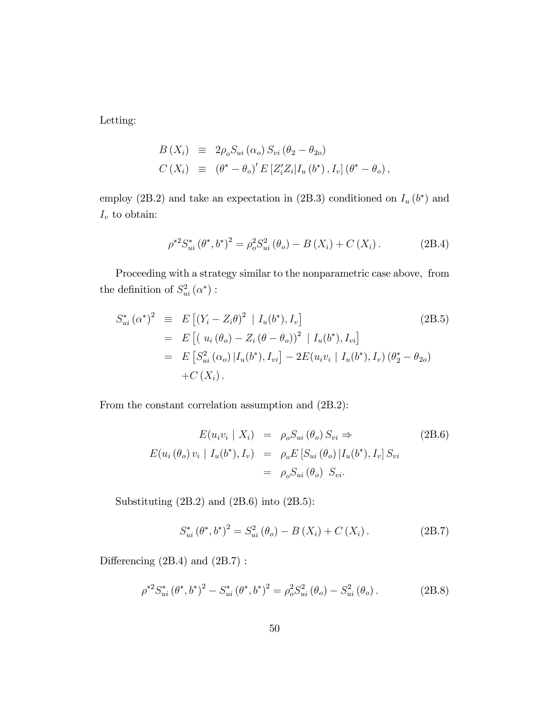Letting:

$$
B(X_i) \equiv 2\rho_o S_{ui}(\alpha_o) S_{vi} (\theta_2 - \theta_{2o})
$$
  
\n
$$
C(X_i) \equiv (\theta^* - \theta_o)' E[Z_i' Z_i | I_u (b^*), I_v] (\theta^* - \theta_o),
$$

employ (2B.2) and take an expectation in (2B.3) conditioned on  $I_u(b^*)$  and  $I_v$  to obtain:

$$
\rho^{*2} S_{ui}^* \left(\theta^*, b^*\right)^2 = \rho_o^2 S_{ui}^2 \left(\theta_o\right) - B\left(X_i\right) + C\left(X_i\right). \tag{2B.4}
$$

Proceeding with a strategy similar to the nonparametric case above, from the definition of  $S_{ui}^2(\alpha^*)$ :

$$
S_{ui}^* (\alpha^*)^2 \equiv E \left[ (Y_i - Z_i \theta)^2 | I_u(b^*), I_v \right]
$$
  
\n
$$
= E \left[ (u_i (\theta_o) - Z_i (\theta - \theta_o))^2 | I_u(b^*), I_{vi} \right]
$$
  
\n
$$
= E \left[ S_{ui}^2 (\alpha_o) | I_u(b^*), I_{vi} \right] - 2E(u_i v_i | I_u(b^*), I_v) (\theta_2^* - \theta_{2o})
$$
  
\n
$$
+ C(X_i).
$$
  
\n(2B.5)

From the constant correlation assumption and (2B.2):

$$
E(u_i v_i \mid X_i) = \rho_o S_{ui} (\theta_o) S_{vi} \Rightarrow
$$
  
\n
$$
E(u_i (\theta_o) v_i \mid I_u(b^*), I_v) = \rho_o E[S_{ui} (\theta_o) | I_u(b^*), I_v] S_{vi}
$$
  
\n
$$
= \rho_o S_{ui} (\theta_o) S_{vi}.
$$
\n(2B.6)

Substituting (2B.2) and (2B.6) into (2B.5):

$$
S_{ui}^* (\theta^*, b^*)^2 = S_{ui}^2 (\theta_o) - B(X_i) + C(X_i).
$$
 (2B.7)

Differencing  $(2B.4)$  and  $(2B.7)$ :

$$
\rho^{*2} S_{ui}^* \left(\theta^*, b^*\right)^2 - S_{ui}^* \left(\theta^*, b^*\right)^2 = \rho_o^2 S_{ui}^2 \left(\theta_o\right) - S_{ui}^2 \left(\theta_o\right). \tag{2B.8}
$$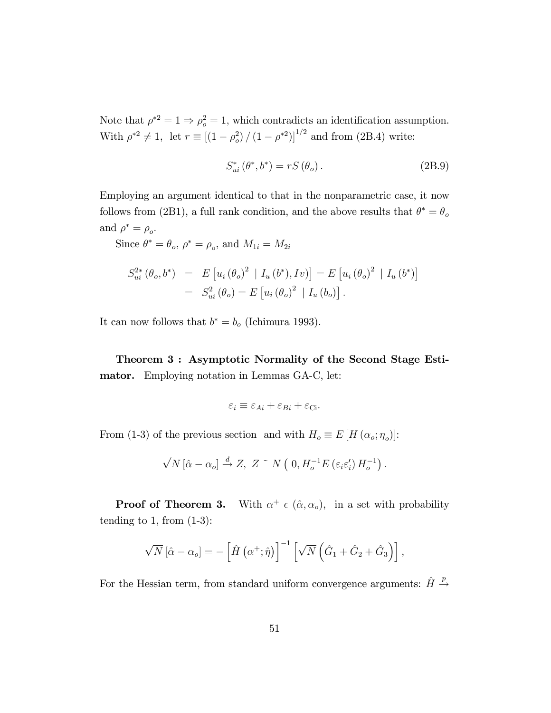Note that  $\rho^{*2} = 1 \Rightarrow \rho_o^2 = 1$ , which contradicts an identification assumption. With  $\rho^{*2} \neq 1$ , let  $r \equiv [(1 - \rho_o^2)/(1 - \rho^{*2})]^{1/2}$  and from (2B.4) write:

$$
S_{ui}^* \left( \theta^*, b^* \right) = rS \left( \theta_o \right). \tag{2B.9}
$$

Employing an argument identical to that in the nonparametric case, it now follows from (2B1), a full rank condition, and the above results that  $\theta^* = \theta_o$ and  $\rho^* = \rho_o$ .

Since  $\theta^* = \theta_o$ ,  $\rho^* = \rho_o$ , and  $M_{1i} = M_{2i}$ 

$$
S_{ui}^{2*}(\theta_o, b^*) = E[u_i(\theta_o)^2 | I_u(b^*), Iv] = E[u_i(\theta_o)^2 | I_u(b^*)]
$$
  
=  $S_{ui}^2(\theta_o) = E[u_i(\theta_o)^2 | I_u(b_o)].$ 

It can now follows that  $b^* = b_o$  (Ichimura 1993).

Theorem 3 : Asymptotic Normality of the Second Stage Estimator. Employing notation in Lemmas GA-C, let:

$$
\varepsilon_i \equiv \varepsilon_{Ai} + \varepsilon_{Bi} + \varepsilon_{Ci}.
$$

From (1-3) of the previous section and with  $H_o \equiv E[H(\alpha_o; \eta_o)]$ :

$$
\sqrt{N} \left[ \hat{\alpha} - \alpha_o \right] \stackrel{d}{\rightarrow} Z, \ Z \stackrel{\sim}{\rightarrow} N \left( \ 0, H_o^{-1} E \left( \varepsilon_i \varepsilon_i' \right) H_o^{-1} \right).
$$

Proof of Theorem 3. With  $\alpha^+ \in (\hat{\alpha}, \alpha_o)$ , in a set with probability tending to 1, from  $(1-3)$ :

$$
\sqrt{N} \left[ \hat{\alpha} - \alpha_o \right] = - \left[ \hat{H} \left( \alpha^+; \hat{\eta} \right) \right]^{-1} \left[ \sqrt{N} \left( \hat{G}_1 + \hat{G}_2 + \hat{G}_3 \right) \right],
$$

For the Hessian term, from standard uniform convergence arguments:  $\hat{H} \stackrel{p}{\sim}$  $\rightarrow$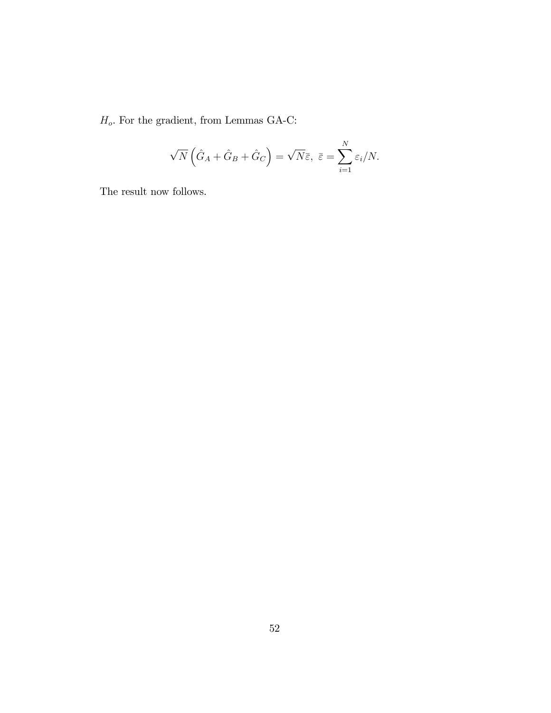$H_o.$  For the gradient, from Lemmas GA-C:  $\,$ 

$$
\sqrt{N}\left(\hat{G}_A + \hat{G}_B + \hat{G}_C\right) = \sqrt{N}\bar{\varepsilon}, \ \bar{\varepsilon} = \sum_{i=1}^N \varepsilon_i/N.
$$

The result now follows.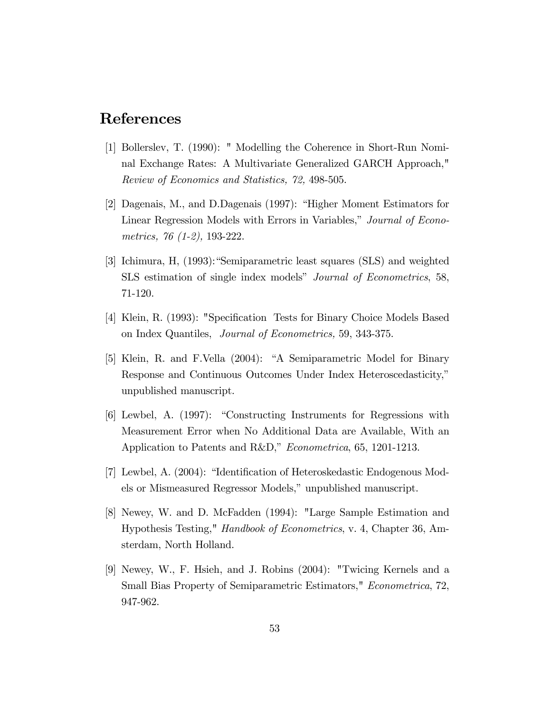#### References

- [1] Bollerslev, T. (1990): " Modelling the Coherence in Short-Run Nominal Exchange Rates: A Multivariate Generalized GARCH Approach," Review of Economics and Statistics, 72, 498-505.
- [2] Dagenais, M., and D.Dagenais (1997): "Higher Moment Estimators for Linear Regression Models with Errors in Variables," Journal of Econometrics, 76 (1-2), 193-222.
- [3] Ichimura, H, (1993): "Semiparametric least squares (SLS) and weighted SLS estimation of single index models" Journal of Econometrics, 58, 71-120.
- [4] Klein, R. (1993): "Specification Tests for Binary Choice Models Based on Index Quantiles, Journal of Econometrics, 59, 343-375.
- [5] Klein, R. and F.Vella (2004): "A Semiparametric Model for Binary Response and Continuous Outcomes Under Index Heteroscedasticity," unpublished manuscript.
- [6] Lewbel, A. (1997): "Constructing Instruments for Regressions with Measurement Error when No Additional Data are Available, With an Application to Patents and R&D," Econometrica, 65, 1201-1213.
- [7] Lewbel, A.  $(2004)$ : "Identification of Heteroskedastic Endogenous Models or Mismeasured Regressor Models," unpublished manuscript.
- [8] Newey, W. and D. McFadden (1994): "Large Sample Estimation and Hypothesis Testing," Handbook of Econometrics, v. 4, Chapter 36, Amsterdam, North Holland.
- [9] Newey, W., F. Hsieh, and J. Robins (2004): "Twicing Kernels and a Small Bias Property of Semiparametric Estimators," Econometrica, 72, 947-962.